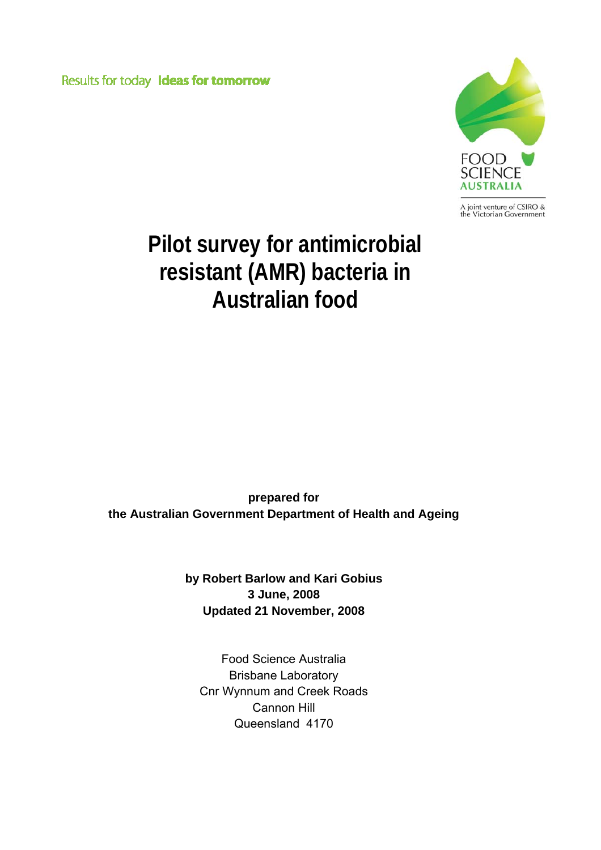Results for today Ideas for tomorrow



A joint venture of CSIRO &<br>the Victorian Government

# **Pilot survey for antimicrobial resistant (AMR) bacteria in Australian food**

**prepared for the Australian Government Department of Health and Ageing** 

> **by Robert Barlow and Kari Gobius 3 June, 2008 Updated 21 November, 2008**

Food Science Australia Brisbane Laboratory Cnr Wynnum and Creek Roads Cannon Hill Queensland 4170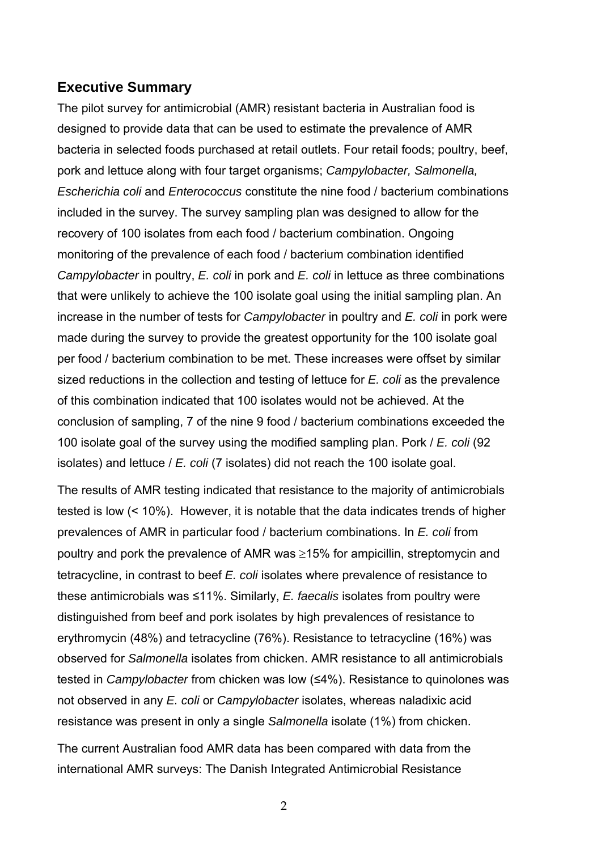## <span id="page-1-0"></span>**Executive Summary**

The pilot survey for antimicrobial (AMR) resistant bacteria in Australian food is designed to provide data that can be used to estimate the prevalence of AMR bacteria in selected foods purchased at retail outlets. Four retail foods; poultry, beef, pork and lettuce along with four target organisms; *Campylobacter, Salmonella, Escherichia coli* and *Enterococcus* constitute the nine food / bacterium combinations included in the survey. The survey sampling plan was designed to allow for the recovery of 100 isolates from each food / bacterium combination. Ongoing monitoring of the prevalence of each food / bacterium combination identified *Campylobacter* in poultry, *E. coli* in pork and *E. coli* in lettuce as three combinations that were unlikely to achieve the 100 isolate goal using the initial sampling plan. An increase in the number of tests for *Campylobacter* in poultry and *E. coli* in pork were made during the survey to provide the greatest opportunity for the 100 isolate goal per food / bacterium combination to be met. These increases were offset by similar sized reductions in the collection and testing of lettuce for *E. coli* as the prevalence of this combination indicated that 100 isolates would not be achieved. At the conclusion of sampling, 7 of the nine 9 food / bacterium combinations exceeded the 100 isolate goal of the survey using the modified sampling plan. Pork / *E. coli* (92 isolates) and lettuce / *E. coli* (7 isolates) did not reach the 100 isolate goal.

The results of AMR testing indicated that resistance to the majority of antimicrobials tested is low (< 10%). However, it is notable that the data indicates trends of higher prevalences of AMR in particular food / bacterium combinations. In *E. coli* from poultry and pork the prevalence of AMR was ≥15% for ampicillin, streptomycin and tetracycline, in contrast to beef *E. coli* isolates where prevalence of resistance to these antimicrobials was ≤11%. Similarly, *E. faecalis* isolates from poultry were distinguished from beef and pork isolates by high prevalences of resistance to erythromycin (48%) and tetracycline (76%). Resistance to tetracycline (16%) was observed for *Salmonella* isolates from chicken. AMR resistance to all antimicrobials tested in *Campylobacter* from chicken was low (≤4%). Resistance to quinolones was not observed in any *E. coli* or *Campylobacter* isolates, whereas naladixic acid resistance was present in only a single *Salmonella* isolate (1%) from chicken.

The current Australian food AMR data has been compared with data from the international AMR surveys: The Danish Integrated Antimicrobial Resistance

2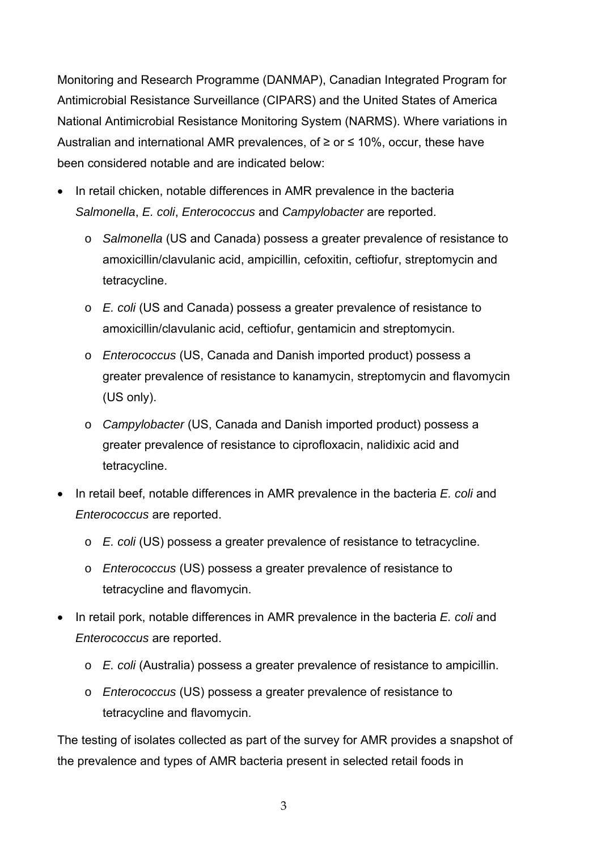Monitoring and Research Programme (DANMAP), Canadian Integrated Program for Antimicrobial Resistance Surveillance (CIPARS) and the United States of America National Antimicrobial Resistance Monitoring System (NARMS). Where variations in Australian and international AMR prevalences, of  $\geq$  or  $\leq$  10%, occur, these have been considered notable and are indicated below:

- In retail chicken, notable differences in AMR prevalence in the bacteria *Salmonella*, *E. coli*, *Enterococcus* and *Campylobacter* are reported.
	- o *Salmonella* (US and Canada) possess a greater prevalence of resistance to amoxicillin/clavulanic acid, ampicillin, cefoxitin, ceftiofur, streptomycin and tetracycline.
	- o *E. coli* (US and Canada) possess a greater prevalence of resistance to amoxicillin/clavulanic acid, ceftiofur, gentamicin and streptomycin.
	- o *Enterococcus* (US, Canada and Danish imported product) possess a greater prevalence of resistance to kanamycin, streptomycin and flavomycin (US only).
	- o *Campylobacter* (US, Canada and Danish imported product) possess a greater prevalence of resistance to ciprofloxacin, nalidixic acid and tetracycline.
- In retail beef, notable differences in AMR prevalence in the bacteria *E. coli* and *Enterococcus* are reported.
	- o *E. coli* (US) possess a greater prevalence of resistance to tetracycline.
	- o *Enterococcus* (US) possess a greater prevalence of resistance to tetracycline and flavomycin.
- In retail pork, notable differences in AMR prevalence in the bacteria *E. coli* and *Enterococcus* are reported.
	- o *E. coli* (Australia) possess a greater prevalence of resistance to ampicillin.
	- o *Enterococcus* (US) possess a greater prevalence of resistance to tetracycline and flavomycin.

The testing of isolates collected as part of the survey for AMR provides a snapshot of the prevalence and types of AMR bacteria present in selected retail foods in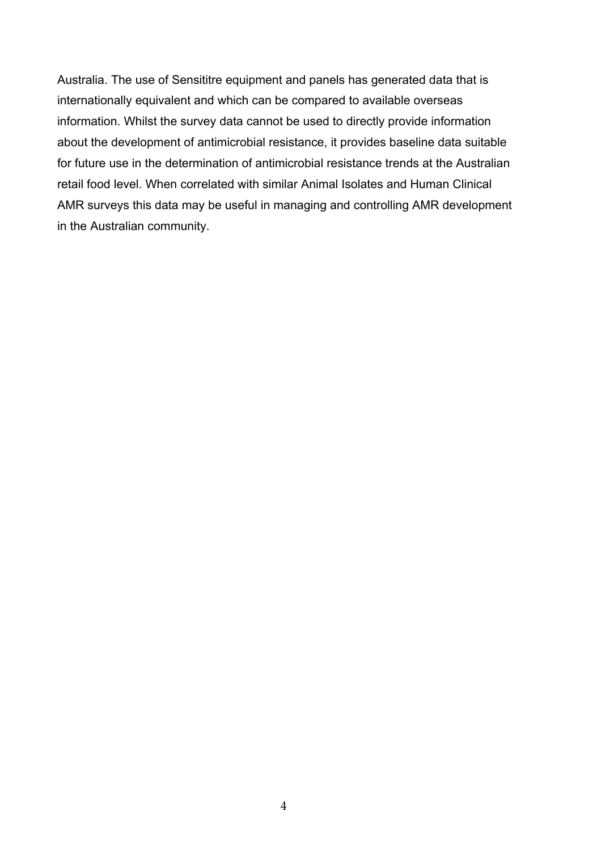Australia. The use of Sensititre equipment and panels has generated data that is internationally equivalent and which can be compared to available overseas information. Whilst the survey data cannot be used to directly provide information about the development of antimicrobial resistance, it provides baseline data suitable for future use in the determination of antimicrobial resistance trends at the Australian retail food level. When correlated with similar Animal Isolates and Human Clinical AMR surveys this data may be useful in managing and controlling AMR development in the Australian community.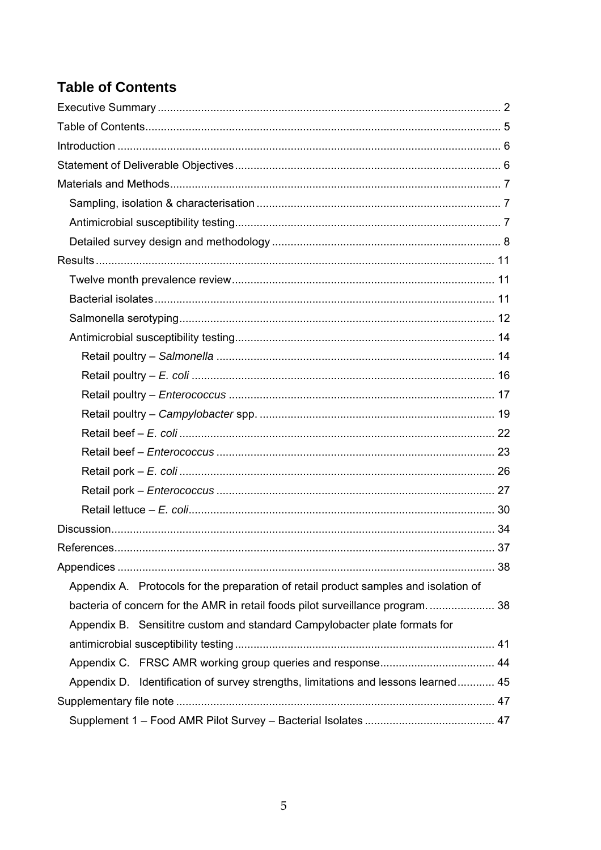## <span id="page-4-0"></span>**Table of Contents**

| Appendix A. Protocols for the preparation of retail product samples and isolation of |
|--------------------------------------------------------------------------------------|
| bacteria of concern for the AMR in retail foods pilot surveillance program 38        |
| Appendix B. Sensititre custom and standard Campylobacter plate formats for           |
|                                                                                      |
|                                                                                      |
| Appendix D. Identification of survey strengths, limitations and lessons learned 45   |
|                                                                                      |
|                                                                                      |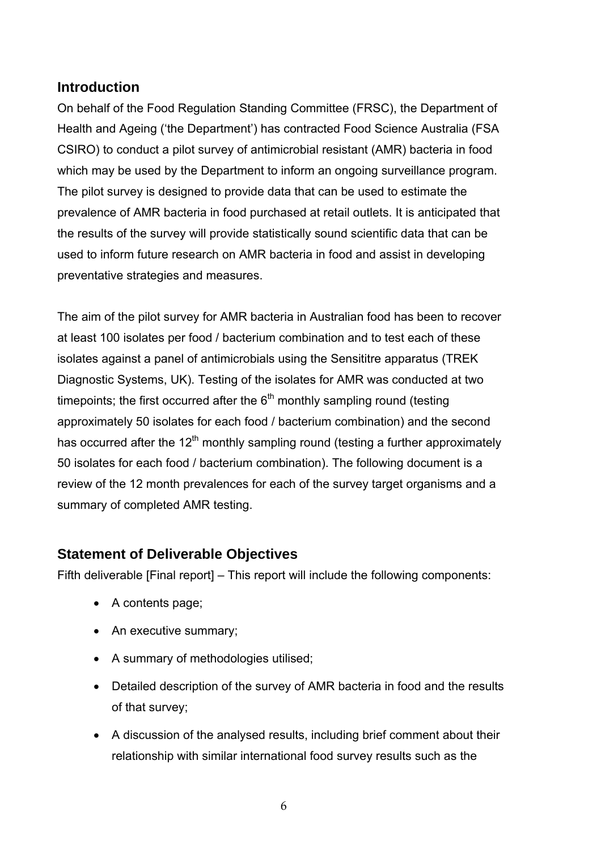## <span id="page-5-0"></span>**Introduction**

On behalf of the Food Regulation Standing Committee (FRSC), the Department of Health and Ageing ('the Department') has contracted Food Science Australia (FSA CSIRO) to conduct a pilot survey of antimicrobial resistant (AMR) bacteria in food which may be used by the Department to inform an ongoing surveillance program. The pilot survey is designed to provide data that can be used to estimate the prevalence of AMR bacteria in food purchased at retail outlets. It is anticipated that the results of the survey will provide statistically sound scientific data that can be used to inform future research on AMR bacteria in food and assist in developing preventative strategies and measures.

The aim of the pilot survey for AMR bacteria in Australian food has been to recover at least 100 isolates per food / bacterium combination and to test each of these isolates against a panel of antimicrobials using the Sensititre apparatus (TREK Diagnostic Systems, UK). Testing of the isolates for AMR was conducted at two timepoints; the first occurred after the  $6<sup>th</sup>$  monthly sampling round (testing approximately 50 isolates for each food / bacterium combination) and the second has occurred after the 12<sup>th</sup> monthly sampling round (testing a further approximately 50 isolates for each food / bacterium combination). The following document is a review of the 12 month prevalences for each of the survey target organisms and a summary of completed AMR testing.

## **Statement of Deliverable Objectives**

Fifth deliverable [Final report] – This report will include the following components:

- A contents page;
- An executive summary;
- A summary of methodologies utilised;
- Detailed description of the survey of AMR bacteria in food and the results of that survey;
- A discussion of the analysed results, including brief comment about their relationship with similar international food survey results such as the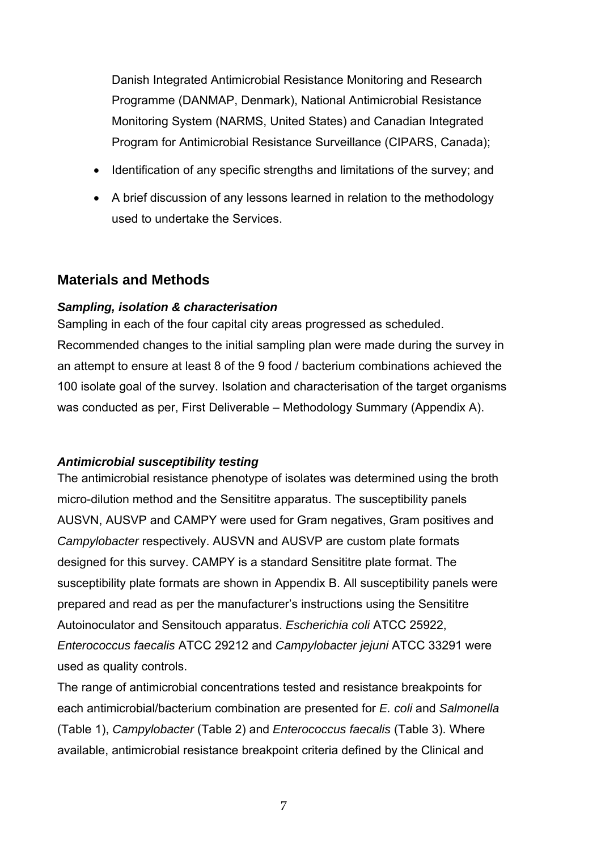<span id="page-6-0"></span>Danish Integrated Antimicrobial Resistance Monitoring and Research Programme (DANMAP, Denmark), National Antimicrobial Resistance Monitoring System (NARMS, United States) and Canadian Integrated Program for Antimicrobial Resistance Surveillance (CIPARS, Canada);

- Identification of any specific strengths and limitations of the survey; and
- A brief discussion of any lessons learned in relation to the methodology used to undertake the Services.

## **Materials and Methods**

## *Sampling, isolation & characterisation*

Sampling in each of the four capital city areas progressed as scheduled. Recommended changes to the initial sampling plan were made during the survey in an attempt to ensure at least 8 of the 9 food / bacterium combinations achieved the 100 isolate goal of the survey. Isolation and characterisation of the target organisms was conducted as per, First Deliverable – Methodology Summary (Appendix A).

## *Antimicrobial susceptibility testing*

The antimicrobial resistance phenotype of isolates was determined using the broth micro-dilution method and the Sensititre apparatus. The susceptibility panels AUSVN, AUSVP and CAMPY were used for Gram negatives, Gram positives and *Campylobacter* respectively. AUSVN and AUSVP are custom plate formats designed for this survey. CAMPY is a standard Sensititre plate format. The susceptibility plate formats are shown in Appendix B. All susceptibility panels were prepared and read as per the manufacturer's instructions using the Sensititre Autoinoculator and Sensitouch apparatus. *Escherichia coli* ATCC 25922, *Enterococcus faecalis* ATCC 29212 and *Campylobacter jejuni* ATCC 33291 were used as quality controls.

The range of antimicrobial concentrations tested and resistance breakpoints for each antimicrobial/bacterium combination are presented for *E. coli* and *Salmonella* ([Table 1\)](#page-8-0), *Campylobacter* [\(Table 2\)](#page-8-1) and *Enterococcus faecalis* [\(Table 3\)](#page-9-0). Where available, antimicrobial resistance breakpoint criteria defined by the Clinical and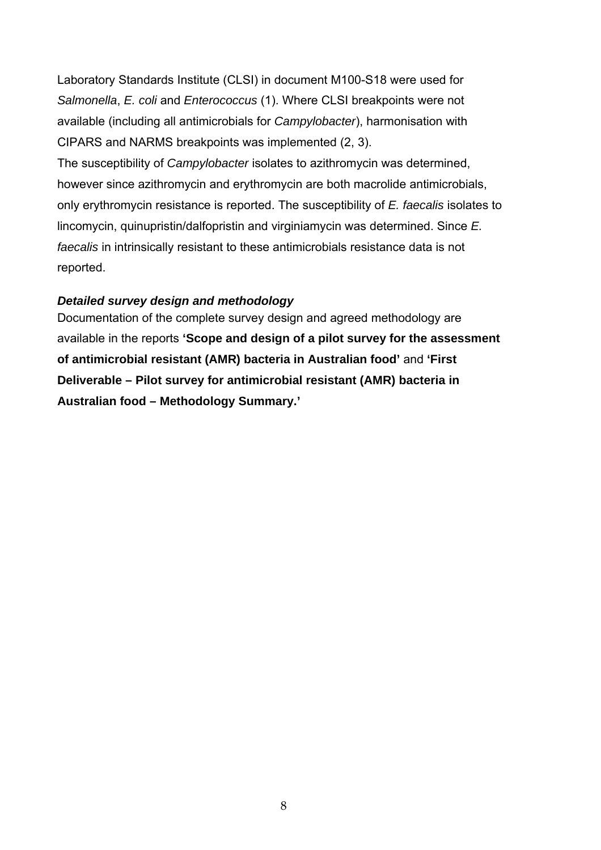<span id="page-7-0"></span>Laboratory Standards Institute (CLSI) in document M100-S18 were used for *Salmonella*, *E. coli* and *Enterococcus* (1). Where CLSI breakpoints were not available (including all antimicrobials for *Campylobacter*), harmonisation with CIPARS and NARMS breakpoints was implemented (2, 3).

The susceptibility of *Campylobacter* isolates to azithromycin was determined, however since azithromycin and erythromycin are both macrolide antimicrobials, only erythromycin resistance is reported. The susceptibility of *E. faecalis* isolates to lincomycin, quinupristin/dalfopristin and virginiamycin was determined. Since *E. faecalis* in intrinsically resistant to these antimicrobials resistance data is not reported.

## *Detailed survey design and methodology*

Documentation of the complete survey design and agreed methodology are available in the reports **'Scope and design of a pilot survey for the assessment of antimicrobial resistant (AMR) bacteria in Australian food'** and **'First Deliverable – Pilot survey for antimicrobial resistant (AMR) bacteria in Australian food – Methodology Summary.'**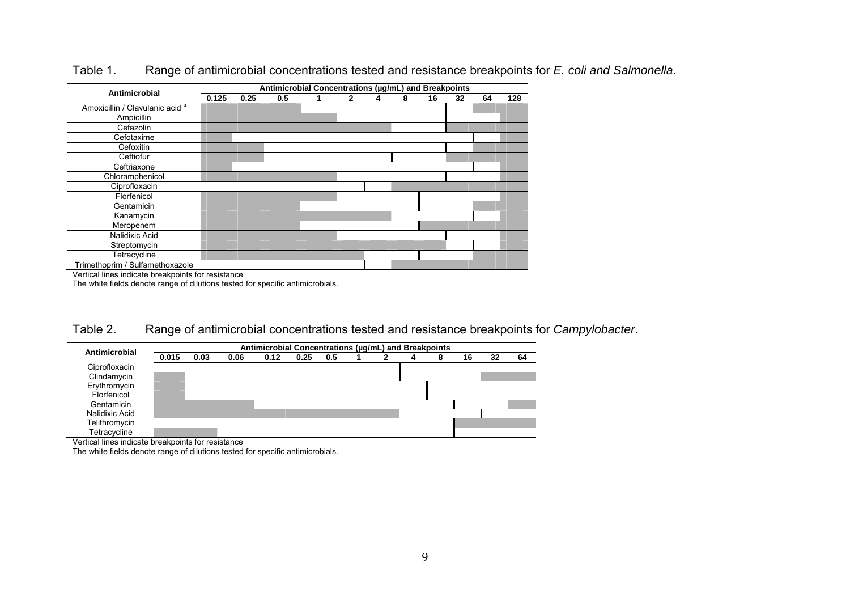| Antimicrobial                              |       |      | Antimicrobial Concentrations (µg/mL) and Breakpoints |   |   |   |    |    |    |     |
|--------------------------------------------|-------|------|------------------------------------------------------|---|---|---|----|----|----|-----|
|                                            | 0.125 | 0.25 | 0.5                                                  | 2 | 4 | 8 | 16 | 32 | 64 | 128 |
| Amoxicillin / Clavulanic acid <sup>a</sup> |       |      |                                                      |   |   |   |    |    |    |     |
| Ampicillin                                 |       |      |                                                      |   |   |   |    |    |    |     |
| Cefazolin                                  |       |      |                                                      |   |   |   |    |    |    |     |
| Cefotaxime                                 |       |      |                                                      |   |   |   |    |    |    |     |
| Cefoxitin                                  |       |      |                                                      |   |   |   |    |    |    |     |
| Ceftiofur                                  |       |      |                                                      |   |   |   |    |    |    |     |
| Ceftriaxone                                |       |      |                                                      |   |   |   |    |    |    |     |
| Chloramphenicol                            |       |      |                                                      |   |   |   |    |    |    |     |
| Ciprofloxacin                              |       |      |                                                      |   |   |   |    |    |    |     |
| Florfenicol                                |       |      |                                                      |   |   |   |    |    |    |     |
| Gentamicin                                 |       |      |                                                      |   |   |   |    |    |    |     |
| Kanamycin                                  |       |      |                                                      |   |   |   |    |    |    |     |
| Meropenem                                  |       |      |                                                      |   |   |   |    |    |    |     |
| Nalidixic Acid                             |       |      |                                                      |   |   |   |    |    |    |     |
| Streptomycin                               |       |      |                                                      |   |   |   |    |    |    |     |
| Tetracycline                               |       |      |                                                      |   |   |   |    |    |    |     |
| Trimethoprim / Sulfamethoxazole            |       |      |                                                      |   |   |   |    |    |    |     |

#### Table 1.Range of antimicrobial concentrations tested and resistance breakpoints for *E. coli and Salmonella*.

Vertical lines indicate breakpoints for resistance

÷.

The white fields denote range of dilutions tested for specific antimicrobials.

Table 2.Range of antimicrobial concentrations tested and resistance breakpoints for *Campylobacter*.

| Antimicrobial  | Antimicrobial Concentrations (ug/mL) and Breakpoints |      |      |      |      |     |  |  |    |    |    |
|----------------|------------------------------------------------------|------|------|------|------|-----|--|--|----|----|----|
|                | 0.015                                                | 0.03 | 0.06 | 0.12 | 0.25 | 0.5 |  |  | 16 | 32 | 64 |
| Ciprofloxacin  |                                                      |      |      |      |      |     |  |  |    |    |    |
| Clindamycin    |                                                      |      |      |      |      |     |  |  |    |    |    |
| Erythromycin   |                                                      |      |      |      |      |     |  |  |    |    |    |
| Florfenicol    |                                                      |      |      |      |      |     |  |  |    |    |    |
| Gentamicin     |                                                      |      |      |      |      |     |  |  |    |    |    |
| Nalidixic Acid |                                                      |      |      |      |      |     |  |  |    |    |    |
| Telithromycin  |                                                      |      |      |      |      |     |  |  |    |    |    |
| Tetracycline   |                                                      |      |      |      |      |     |  |  |    |    |    |

Vertical lines indicate breakpoints for resistance

<span id="page-8-1"></span><span id="page-8-0"></span>The white fields denote range of dilutions tested for specific antimicrobials.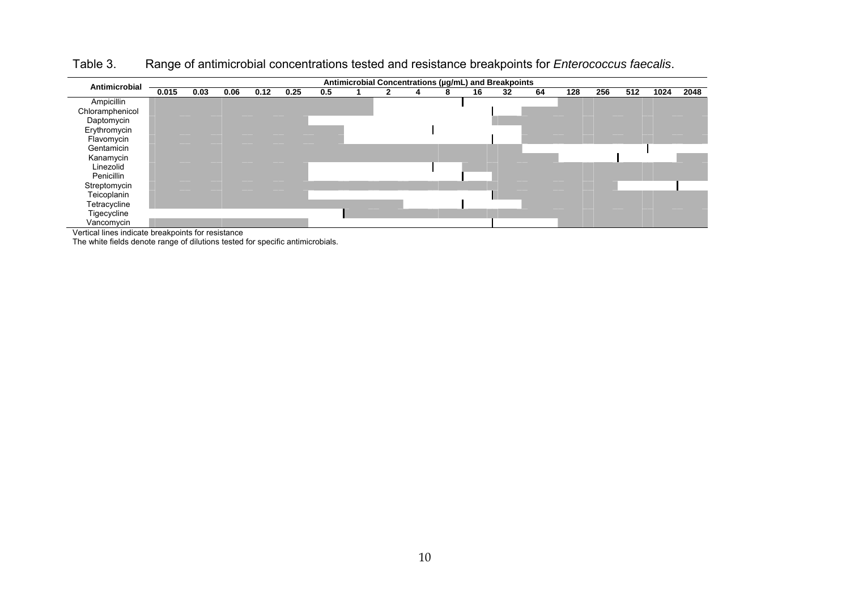Table 3.Range of antimicrobial concentrations tested and resistance breakpoints for *Enterococcus faecalis*.

| Antimicrobial   | Antimicrobial Concentrations (µg/mL) and Breakpoints<br>0.015<br>0.25<br>0.5<br>64<br>256<br>0.03<br>0.06<br>128<br>512<br>1024<br>0.12<br>32<br>16<br>8 |  |  |  |  |  |  |  |  |  |      |  |  |
|-----------------|----------------------------------------------------------------------------------------------------------------------------------------------------------|--|--|--|--|--|--|--|--|--|------|--|--|
|                 |                                                                                                                                                          |  |  |  |  |  |  |  |  |  | 2048 |  |  |
| Ampicillin      |                                                                                                                                                          |  |  |  |  |  |  |  |  |  |      |  |  |
| Chloramphenicol |                                                                                                                                                          |  |  |  |  |  |  |  |  |  |      |  |  |
| Daptomycin      |                                                                                                                                                          |  |  |  |  |  |  |  |  |  |      |  |  |
| Erythromycin    |                                                                                                                                                          |  |  |  |  |  |  |  |  |  |      |  |  |
| Flavomycin      |                                                                                                                                                          |  |  |  |  |  |  |  |  |  |      |  |  |
| Gentamicin      |                                                                                                                                                          |  |  |  |  |  |  |  |  |  |      |  |  |
| Kanamycin       |                                                                                                                                                          |  |  |  |  |  |  |  |  |  |      |  |  |
| Linezolid       |                                                                                                                                                          |  |  |  |  |  |  |  |  |  |      |  |  |
| Penicillin      |                                                                                                                                                          |  |  |  |  |  |  |  |  |  |      |  |  |
| Streptomycin    |                                                                                                                                                          |  |  |  |  |  |  |  |  |  |      |  |  |
| Teicoplanin     |                                                                                                                                                          |  |  |  |  |  |  |  |  |  |      |  |  |
| Tetracycline    |                                                                                                                                                          |  |  |  |  |  |  |  |  |  |      |  |  |
| Tigecycline     |                                                                                                                                                          |  |  |  |  |  |  |  |  |  |      |  |  |
| Vancomycin      |                                                                                                                                                          |  |  |  |  |  |  |  |  |  |      |  |  |

Vertical lines indicate breakpoints for resistance

<span id="page-9-0"></span>The white fields denote range of dilutions tested for specific antimicrobials.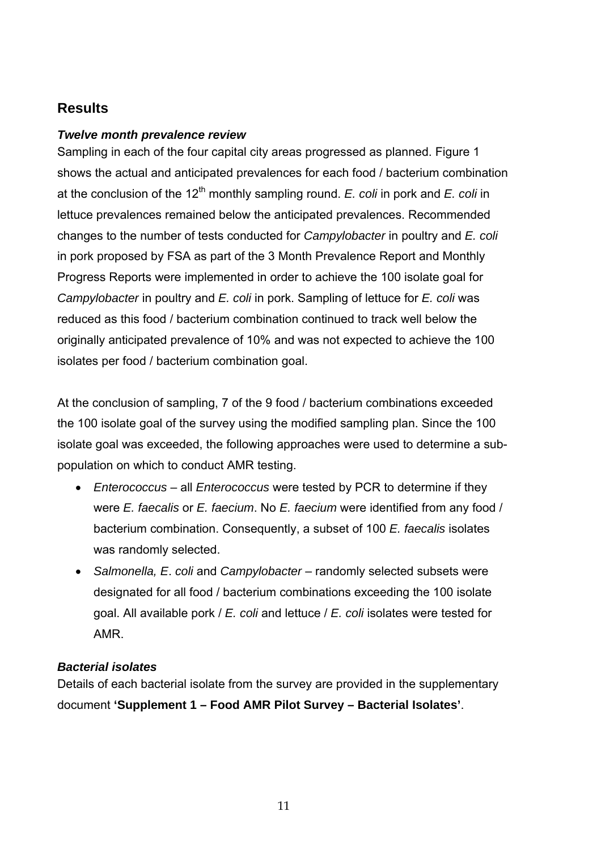## <span id="page-10-0"></span>**Results**

## *Twelve month prevalence review*

Sampling in each of the four capital city areas progressed as planned. [Figure 1](#page-12-0)  shows the actual and anticipated prevalences for each food / bacterium combination at the conclusion of the  $12<sup>th</sup>$  monthly sampling round. *E. coli* in pork and *E. coli* in lettuce prevalences remained below the anticipated prevalences. Recommended changes to the number of tests conducted for *Campylobacter* in poultry and *E. coli* in pork proposed by FSA as part of the 3 Month Prevalence Report and Monthly Progress Reports were implemented in order to achieve the 100 isolate goal for *Campylobacter* in poultry and *E. coli* in pork. Sampling of lettuce for *E. coli* was reduced as this food / bacterium combination continued to track well below the originally anticipated prevalence of 10% and was not expected to achieve the 100 isolates per food / bacterium combination goal.

At the conclusion of sampling, 7 of the 9 food / bacterium combinations exceeded the 100 isolate goal of the survey using the modified sampling plan. Since the 100 isolate goal was exceeded, the following approaches were used to determine a subpopulation on which to conduct AMR testing.

- *Enterococcus*  all *Enterococcus* were tested by PCR to determine if they were *E. faecalis* or *E. faecium*. No *E. faecium* were identified from any food / bacterium combination. Consequently, a subset of 100 *E. faecalis* isolates was randomly selected.
- *Salmonella, E*. *coli* and *Campylobacter* randomly selected subsets were designated for all food / bacterium combinations exceeding the 100 isolate goal. All available pork / *E. coli* and lettuce / *E. coli* isolates were tested for AMR.

#### *Bacterial isolates*

Details of each bacterial isolate from the survey are provided in the supplementary document **'Supplement 1 – Food AMR Pilot Survey – Bacterial Isolates'**.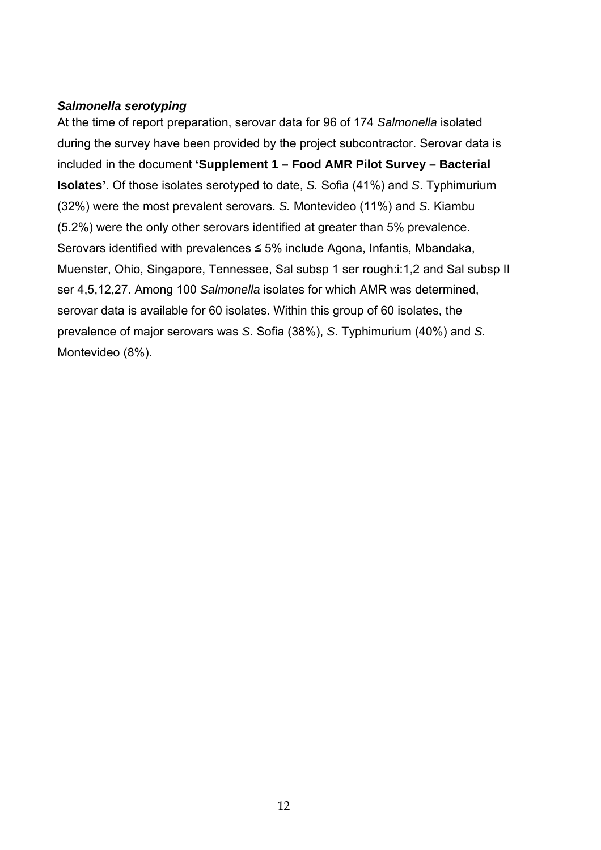### <span id="page-11-0"></span>*Salmonella serotyping*

At the time of report preparation, serovar data for 96 of 174 *Salmonella* isolated during the survey have been provided by the project subcontractor. Serovar data is included in the document **'Supplement 1 – Food AMR Pilot Survey – Bacterial Isolates'**. Of those isolates serotyped to date, *S.* Sofia (41%) and *S*. Typhimurium (32%) were the most prevalent serovars. *S.* Montevideo (11%) and *S*. Kiambu (5.2%) were the only other serovars identified at greater than 5% prevalence. Serovars identified with prevalences ≤ 5% include Agona, Infantis, Mbandaka, Muenster, Ohio, Singapore, Tennessee, Sal subsp 1 ser rough:i:1,2 and Sal subsp II ser 4,5,12,27. Among 100 *Salmonella* isolates for which AMR was determined, serovar data is available for 60 isolates. Within this group of 60 isolates, the prevalence of major serovars was *S*. Sofia (38%), *S*. Typhimurium (40%) and *S.* Montevideo (8%).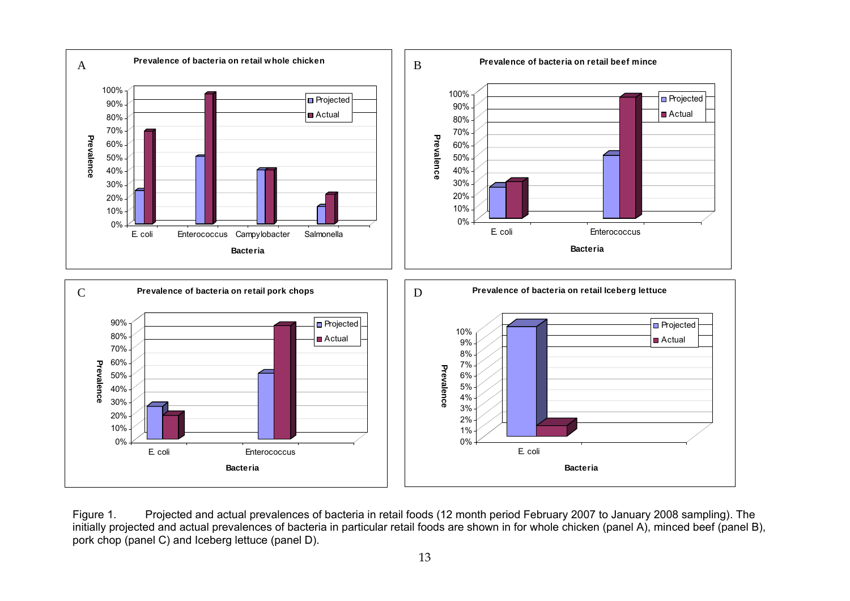

<span id="page-12-0"></span>Figure 1. Projected and actual prevalences of bacteria in retail foods (12 month period February 2007 to January 2008 sampling). The initially projected and actual prevalences of bacteria in particular retail foods are shown in for whole chicken (panel A), minced beef (panel B), pork chop (panel C) and Iceberg lettuce (panel D).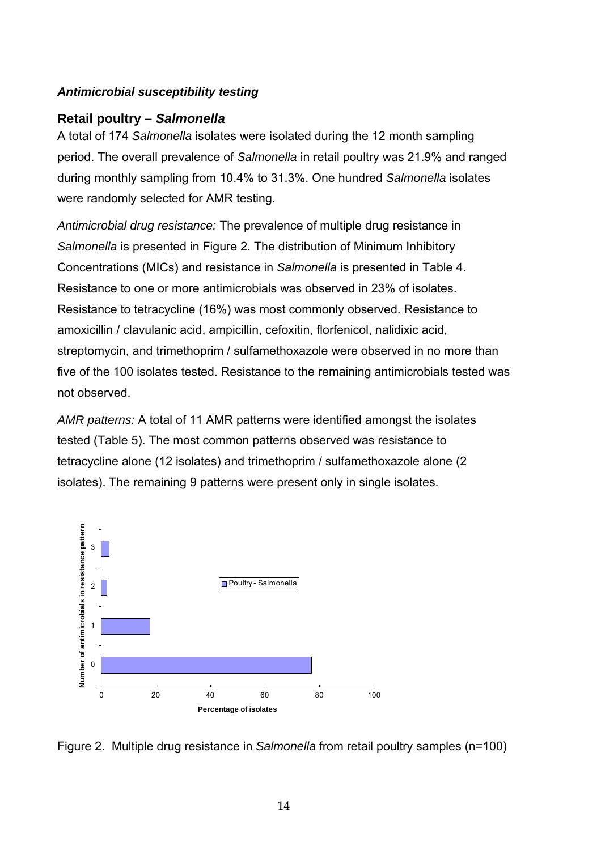## <span id="page-13-0"></span>*Antim icrobial susceptibility testing*

## **Retai l poultry –** *Salmonella*

A tota l of 174 *Salmonella* isolates were isolated during the 12 month sampling period . The overall prevalence of *Salmonella* in retail poultry was 21.9% and ranged during monthly sampling from 10.4% to 31.3%. One hundred *Salmonella* isolates were randomly selected for AMR testing.

*Antim icrobial drug resistance:* The prevalence of multiple drug resistance in *Salmo nella* is presented in [Figure 2.](#page-13-1) The distribution of Minimum Inhibitory Conce ntrations (MICs) and resistance in *Salmonella* is presented in [Table 4.](#page-14-0) Resis tance to one or more antimicrobials was observed in 23% of isolates. Resis tance to tetracycline (16%) was most commonly observed. Resistance to amox icillin / clavulanic acid, ampicillin, cefoxitin, florfenicol, nalidixic acid, strept omycin, and trimethoprim / sulfamethoxazole were observed in no more than five o f the 100 isolates tested. Resistance to the remaining antimicrobials tested was not ob served.

*AMR patterns:* A total of 11 AMR patterns were identified amongst the isolates tested ([Table](#page-14-1) 5). The most common patterns observed was resistance to tetrac ycline alone (12 isolates) and trimethoprim / sulfamethoxazole alone (2 isolate s). The remaining 9 patterns were present only in single isolates.



<span id="page-13-1"></span>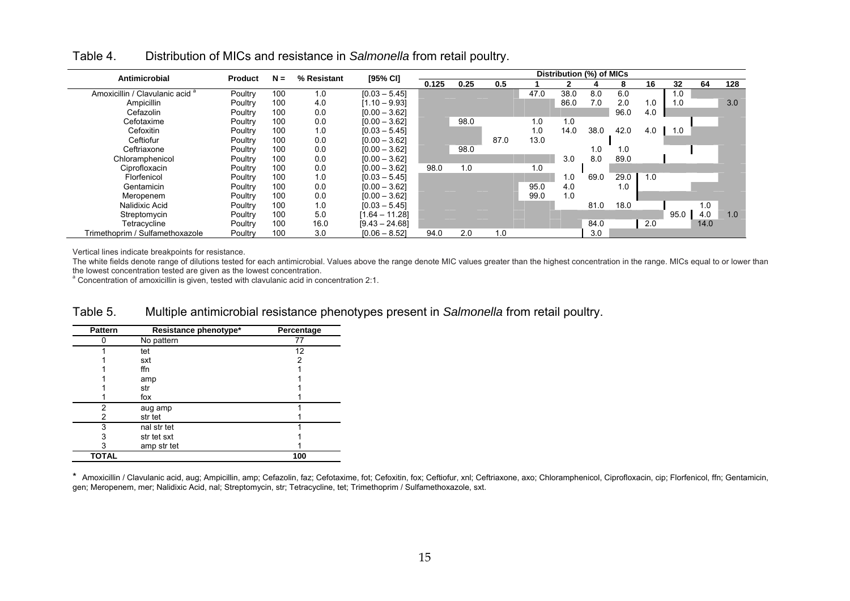| Antimicrobial                              | <b>Product</b> | $N =$ | % Resistant | [95% CI]         |       |      |      |      | Distribution (%) of MICs |      |      |     |      |      |     |
|--------------------------------------------|----------------|-------|-------------|------------------|-------|------|------|------|--------------------------|------|------|-----|------|------|-----|
|                                            |                |       |             |                  | 0.125 | 0.25 | 0.5  |      |                          |      | 8    | 16  | 32   | 64   | 128 |
| Amoxicillin / Clavulanic acid <sup>a</sup> | Poultry        | 100   | 1.0         | $[0.03 - 5.45]$  |       |      |      | 47.0 | 38.0                     | 8.0  | 6.0  |     | 1.0  |      |     |
| Ampicillin                                 | Poultry        | 100   | 4.0         | $[1.10 - 9.93]$  |       |      |      |      | 86.0                     | 7.0  | 2.0  | 1.0 | 1.0  |      | 3.0 |
| Cefazolin                                  | Poultry        | 100   | 0.0         | $[0.00 - 3.62]$  |       |      |      |      |                          |      | 96.0 | 4.0 |      |      |     |
| Cefotaxime                                 | Poultry        | 100   | 0.0         | $[0.00 - 3.62]$  |       | 98.0 |      | 1.0  | 1.0                      |      |      |     |      |      |     |
| Cefoxitin                                  | Poultry        | 100   | 1.0         | $[0.03 - 5.45]$  |       |      |      | 1.0  | 14.0                     | 38.0 | 42.0 | 4.0 | 1.0  |      |     |
| Ceftiofur                                  | Poultry        | 100   | 0.0         | $[0.00 - 3.62]$  |       |      | 87.0 | 13.0 |                          |      |      |     |      |      |     |
| Ceftriaxone                                | Poultry        | 100   | 0.0         | $[0.00 - 3.62]$  |       | 98.0 |      |      |                          | 1.0  | 1.0  |     |      |      |     |
| Chloramphenicol                            | Poultry        | 100   | 0.0         | $[0.00 - 3.62]$  |       |      |      |      | 3.0                      | 8.0  | 89.0 |     |      |      |     |
| Ciprofloxacin                              | Poultry        | 100   | 0.0         | $[0.00 - 3.62]$  | 98.0  | 1.0  |      | 1.0  |                          |      |      |     |      |      |     |
| Florfenicol                                | Poultry        | 100   | 1.0         | $[0.03 - 5.45]$  |       |      |      |      | 1.0                      | 69.0 | 29.0 | 1.0 |      |      |     |
| Gentamicin                                 | Poultry        | 100   | 0.0         | $[0.00 - 3.62]$  |       |      |      | 95.0 | 4.0                      |      | 1.0  |     |      |      |     |
| Meropenem                                  | Poultry        | 100   | 0.0         | $[0.00 - 3.62]$  |       |      |      | 99.0 | 1.0                      |      |      |     |      |      |     |
| Nalidixic Acid                             | Poultry        | 100   | 1.0         | $[0.03 - 5.45]$  |       |      |      |      |                          | 81.0 | 18.0 |     |      | 1.0  |     |
| Streptomycin                               | Poultry        | 100   | 5.0         | $[1.64 - 11.28]$ |       |      |      |      |                          |      |      |     | 95.0 | 4.0  | 1.0 |
| Tetracycline                               | Poultry        | 100   | 16.0        | $[9.43 - 24.68]$ |       |      |      |      |                          | 84.0 |      | 2.0 |      | 14.0 |     |
| Trimethoprim / Sulfamethoxazole            | Poultry        | 100   | 3.0         | $[0.06 - 8.52]$  | 94.0  | 2.0  | 1.0  |      |                          | 3.0  |      |     |      |      |     |

Table 4.Distribution of MICs and resistance in *Salmonella* from retail poultry.

Vertical lines indicate breakpoints for resistance.

The white fields denote range of dilutions tested for each antimicrobial. Values above the range denote MIC values greater than the highest concentration in the range. MICs equal to or lower than the lowest concentration tested are given as the lowest concentration.

<sup>a</sup> Concentration of amoxicillin is given, tested with clavulanic acid in concentration 2:1.

#### Multiple antimicrobial resistance phenotypes present in *Salmonella* from retail poultry. Table 5.

| <b>Pattern</b> | Resistance phenotype* | Percentage |
|----------------|-----------------------|------------|
|                | No pattern            | 77         |
|                | tet                   | 12         |
|                | sxt                   | 2          |
|                | ffn                   |            |
|                | amp                   |            |
|                | str                   |            |
|                | fox                   |            |
| 2              | aug amp               |            |
| 2              | str tet               |            |
| 3              | nal str tet           |            |
| 3              | str tet sxt           |            |
| 3              | amp str tet           |            |
| <b>TOTAL</b>   |                       | 100        |

<span id="page-14-1"></span><span id="page-14-0"></span>\* Amoxicillin / Clavulanic acid, aug; Ampicillin, amp; Cefazolin, faz; Cefotaxime, fot; Cefoxitin, fox; Ceftiofur, xnl; Ceftriaxone, axo; Chloramphenicol, Ciprofloxacin, cip; Florfenicol, ffn; Gentamicin, gen; Meropenem, mer; Nalidixic Acid, nal; Streptomycin, str; Tetracycline, tet; Trimethoprim / Sulfamethoxazole, sxt.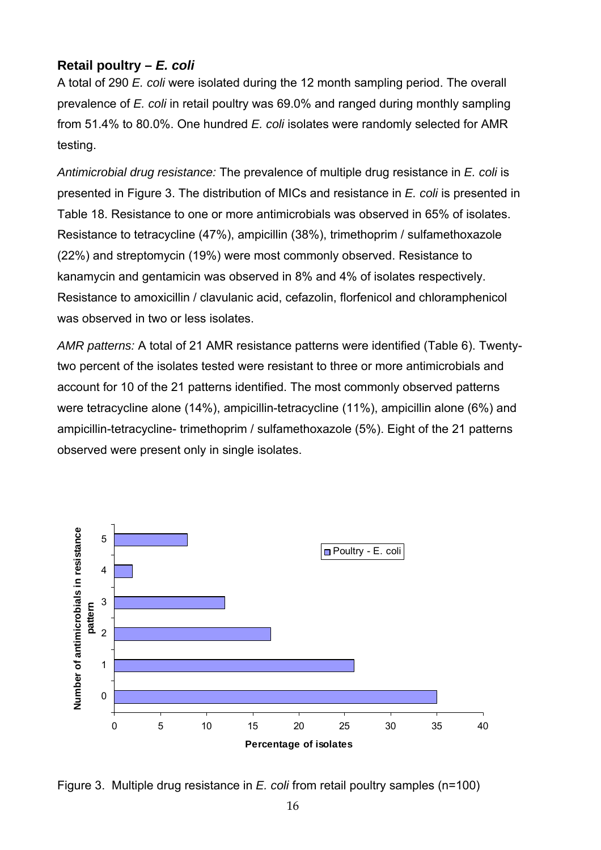## <span id="page-15-0"></span>**Retail poultry –** *E. coli*

A total of 290 *E. coli* were isolated during the 12 month sampling period. The overall prevalence of *E. coli* in retail poultry was 69.0% and ranged during monthly sampling from 51.4% to 80.0%. One hundred *E. coli* isolates were randomly selected for AMR test ing.

Antimicrobial drug resistance: The prevalence of multiple drug resistance in *E. coli* is presented in [Figure 3.](#page-15-1) The distribution of MICs and resistance in *E. coli* is presented in [Table 18.](#page-31-0) Resistance to one or more antimicrobials was observed in 65% of isolates. Resistance to tetracycline (47%), ampicillin (38%), trimethoprim / sulfamethoxazole (22%) and streptomycin (19%) were most commonly observed. Resistance to kanamycin and gentamicin was observed in 8% and 4% of isolates respectively. Resistance to amoxicillin / clavulanic acid, cefazolin, florfenicol and chloramphenicol was observed in two or less isolates.

AMR patterns: A total of 21 AMR resistance patterns were identified [\(Table 6\)](#page-16-1). Twentytwo percent of the isolates tested were resistant to three or more antimicrobials and account for 10 of the 21 patterns identified. The most commonly observed patterns were tetracycline alone (14%), ampicillin-tetracycline (11%), ampicillin alone (6%) and ampicillin-tetracycline- trimethoprim / sulfamethoxazole (5%). Eight of the 21 patterns observed were present only in single isolates.



<span id="page-15-1"></span>Figure 3. Multiple drug resistance in *E. coli* from retail poultry samples (n=100)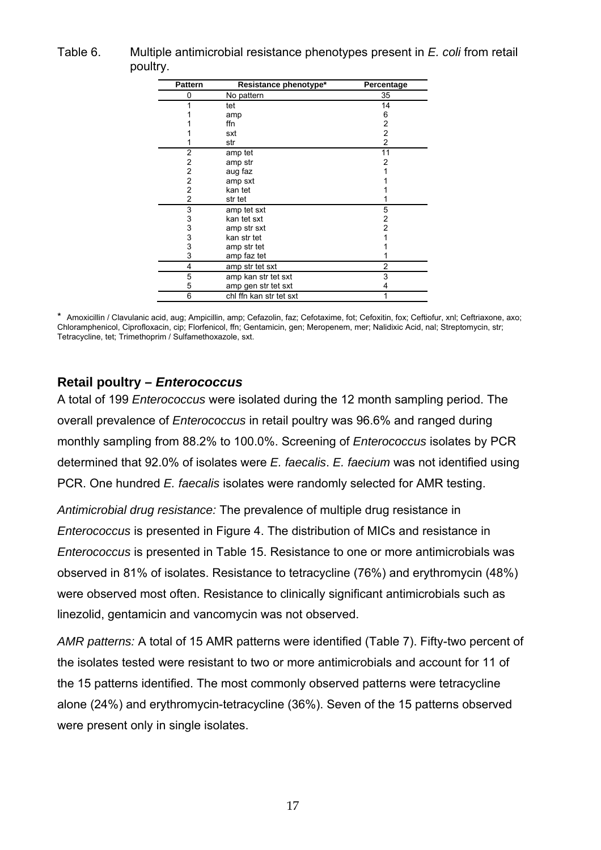<span id="page-16-1"></span><span id="page-16-0"></span>

| Table 6. | Multiple antimicrobial resistance phenotypes present in E. coli from retail |
|----------|-----------------------------------------------------------------------------|
|          | poultry.                                                                    |

| <b>Pattern</b> | Resistance phenotype*   | Percentage     |
|----------------|-------------------------|----------------|
| 0              | No pattern              | 35             |
|                | tet                     | 14             |
|                | amp                     | 6              |
|                | ffn                     | 2              |
|                | sxt                     | 2              |
|                | str                     | $\overline{c}$ |
| 2              | amp tet                 | 11             |
| 2              | amp str                 | 2              |
| 2              | aug faz                 |                |
| $\overline{c}$ | amp sxt                 |                |
| $\overline{2}$ | kan tet                 |                |
| 2              | str tet                 |                |
| 3              | amp tet sxt             | 5              |
| 3              | kan tet sxt             | 2              |
| 3<br>3         | amp str sxt             | 2              |
|                | kan str tet             |                |
| 3              | amp str tet             |                |
| 3              | amp faz tet             |                |
| 4              | amp str tet sxt         | 2              |
| 5              | amp kan str tet sxt     | 3              |
| 5              | amp gen str tet sxt     | 4              |
| 6              | chl ffn kan str tet sxt | 1              |

\* Amoxicillin / Clavulanic acid, aug; Ampicillin, amp; Cefazolin, faz; Cefotaxime, fot; Cefoxitin, fox; Ceftiofur, xnl; Ceftriaxone, axo; Chloramphenicol, Ciprofloxacin, cip; Florfenicol, ffn; Gentamicin, gen; Meropenem, mer; Nalidixic Acid, nal; Streptomycin, str; Tetracycline, tet; Trimethoprim / Sulfamethoxazole, sxt.

## **Retail poultry –** *Enterococcus*

monthly sampling from 88.2% to 100.0%. Screening of *Enterococcus* isolates by PCR determined that 92.0% of isolates were *E. faecalis. E. faecium* was not identified using PCR. One hundred *E. faecalis* isolates were randomly selected for AMR testing. A total of 199 *Enterococcus* were isolated during the 12 month sampling period. The overall prevalence of *Enterococcus* in retail poultry was 96.6% and ranged during

*Antimicrobial drug resistance:* The prevalence of multiple drug resistance in *Enterococcus* is presented in [Figure 4.](#page-17-0) The distribution of MICs and resistance in *Enterococcus* is presented in [Table 15.](#page-28-0) Resistance to one or more antimicrobials was observed in 81% of isolates. Resistance to tetracycline (76%) and erythromycin (48%) were observed most often. Resistance to clinically significant antimicrobials such as linezolid, gentamicin and vancomycin was not observed.

*AMR patterns:* A total of 15 AMR patterns were identified [\(Table 7\)](#page-17-1). Fifty-two percent of the isolates tested were resistant to two or more antimicrobials and account for 11 of the 15 patterns identified. The most commonly observed patterns were tetracycline alone (24%) and erythromycin-tetracycline (36%). Seven of the 15 patterns observed were present only in single isolates.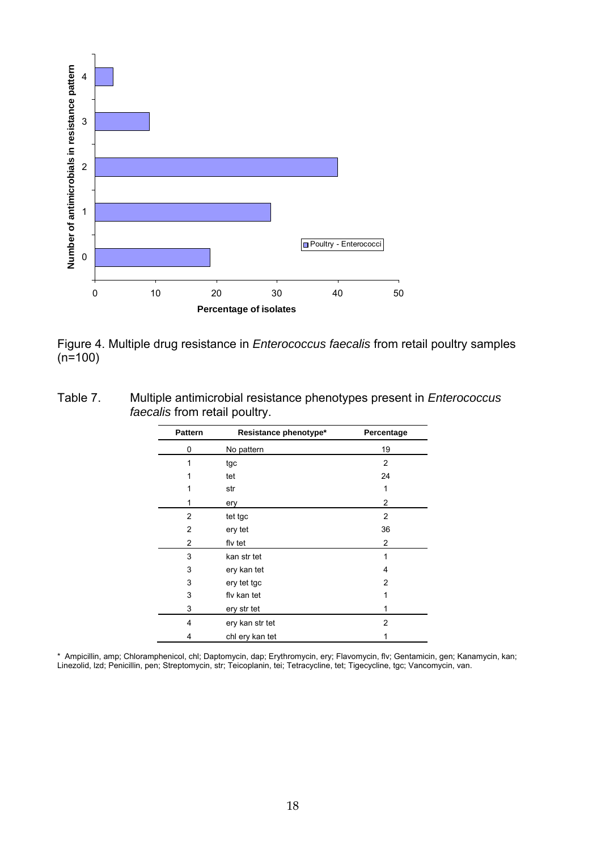

<span id="page-17-0"></span>Figure 4. Multiple drug resistance in *Enterococcus faecalis* from retail poultry samples  $(n=100)$ 

<span id="page-17-1"></span>

| Table 7. | Multiple antimicrobial resistance phenotypes present in <i>Enterococcus</i> |
|----------|-----------------------------------------------------------------------------|
|          | <i>faecalis</i> from retail poultry.                                        |

| <b>Pattern</b> | Resistance phenotype* | Percentage |
|----------------|-----------------------|------------|
| 0              | No pattern            | 19         |
| 1              | tgc                   | 2          |
| 1              | tet                   | 24         |
|                | str                   | 1          |
| 1              | ery                   | 2          |
| $\overline{2}$ | tet tgc               | 2          |
| $\overline{2}$ | ery tet               | 36         |
| $\overline{2}$ | fly tet               | 2          |
| 3              | kan str tet           | 1          |
| 3              | ery kan tet           | 4          |
| 3              | ery tet tgc           | 2          |
| 3              | fly kan tet           | 1          |
| 3              | ery str tet           |            |
| 4              | ery kan str tet       | 2          |
| 4              | chl ery kan tet       | 1          |

\* Ampicillin, amp; Chloramphenicol, chl; Daptomycin, dap; Erythromycin, ery; Flavomycin, flv; Gentamicin, gen; Kanamycin, kan Linezolid, lzd; Penicillin, pen; Streptomycin, str; Teicoplanin, tei; Tetracycline, tet; Tigecycline, tgc; Vancomycin, van. ;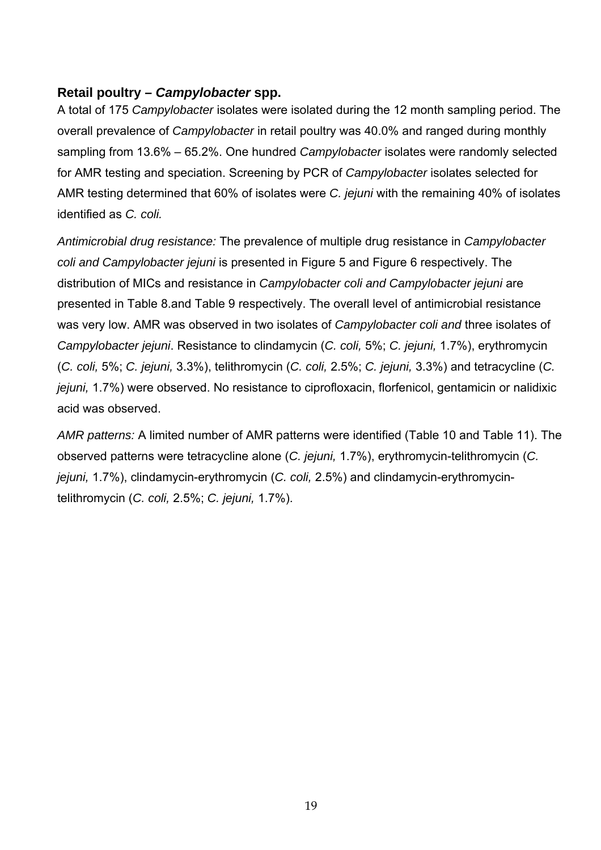## <span id="page-18-0"></span>**Retail poultry –** *Campylobacter* **spp.**

A total of 175 *Campylobacter* isolates were isolated during the 12 month sampling period. The overall prevalence of *Campylobacter* in retail poultry was 40.0% and ranged during monthly sampling from 13.6% – 65.2%. One hundred *Campylobacter* isolates were randomly selected for AMR testing and speciation. Screening by PCR of *Campylobacter* isolates selected for AMR testing determined that 60% of isolates were *C. jejuni* with the remaining 40% of isolates identified as *C. coli.*

*Antimicrobial drug resistance:* The prevalence of multiple drug resistance in *Campylobacter coli and Campylobacter jejuni* is presented in [Figure 5](#page-19-0) and [Figure 6](#page-19-1) respectively. The distribution of MICs and resistance in *Campylobacter coli and Campylobacter jejuni* are presented in [Table 8.](#page-20-0)and [Table 9](#page-20-1) respectively. The overall level of antimicrobial resistance was very low. AMR was observed in two isolates of *Campylobacter coli and* three isolates of *Campylobacter jejuni.* Resistance to clindamycin (*C. coli,* 5%; *C. jejuni,* 1.7%), erythromycin ; *C. jejuni,* 3.3%), telithromycin (*C. coli,* 2.5%; *C. jejuni,* 3.3%) and tetracycline (*C.*  (*C. coli,* 5% acid was observed. *jejuni,* 1.7%) were observed. No resistance to ciprofloxacin, florfenicol, gentamicin or nalidixic

*AMR patterns:* A limited number of AMR patterns were identified ([Table 10](#page-21-1) and [Table 11\)](#page-21-2). The observed patterns were tetracycline alone (*C. jejuni,* 1.7%), erythromycin-telithromycin (*C. jejuni,* 1.7%), clindamycin-erythromycin (*C. coli,* 2.5%) and clindamycin-erythromycintelithromycin (*C. coli,* 2.5%; *C. jejuni,* 1.7%).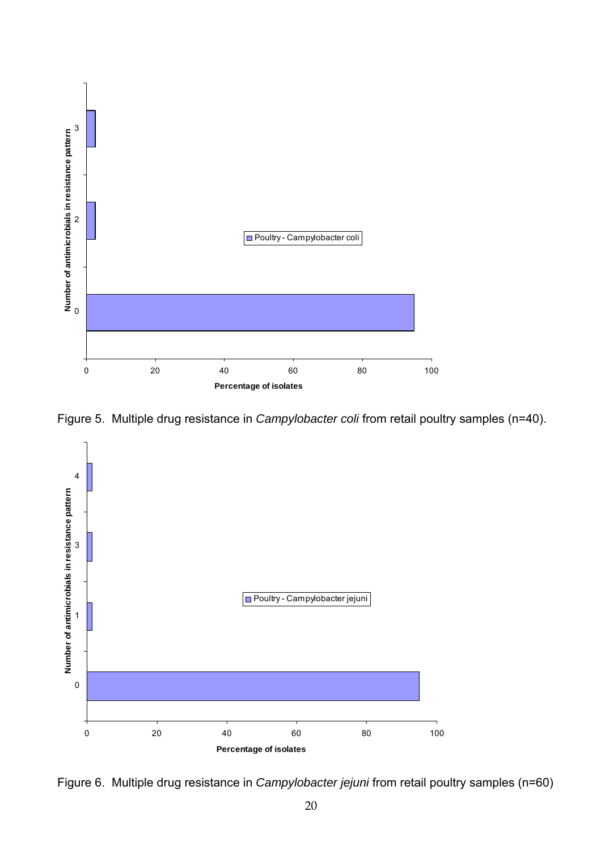

<span id="page-19-0"></span>Figure 5. Multiple drug resistance in *Campylobacter coli* from retail poultry samples (n=40).



<span id="page-19-1"></span>Figure 6. Multiple drug resistance in *Campylobacter jejuni* from retail poultry samples (n=60)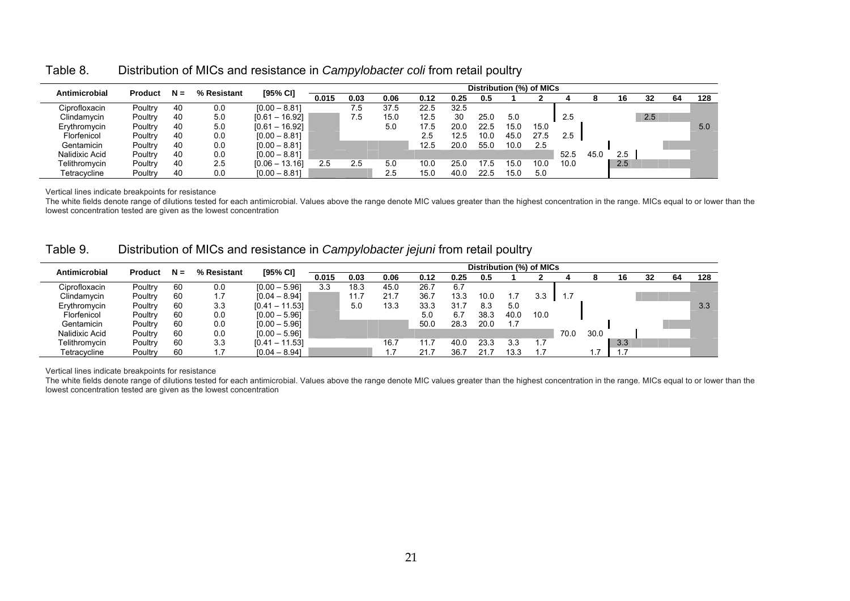| Antimicrobial  | <b>Product</b> | $N =$ | % Resistant | [95% CI]         |       |      |      |      | Distribution (%) of MICs |      |      |      |      |      |     |     |    |     |
|----------------|----------------|-------|-------------|------------------|-------|------|------|------|--------------------------|------|------|------|------|------|-----|-----|----|-----|
|                |                |       |             |                  | 0.015 | 0.03 | 0.06 | 0.12 | 0.25                     | 0.5  |      |      |      |      | 16  | 32  | 64 | 128 |
| Ciprofloxacin  | Poultry        | 40    | 0.0         | $[0.00 - 8.81]$  |       | ు    | 37.5 | 22.5 | 32.5                     |      |      |      |      |      |     |     |    |     |
| Clindamycin    | Poultry        | 40    | 5.0         | $[0.61 - 16.92]$ |       | . 5  | 15.0 | 12.5 | 30                       | 25.0 | 5.0  |      | 2.5  |      |     | 2.5 |    |     |
| Erythromycin   | Poultry        | 40    | 5.0         | $[0.61 - 16.92]$ |       |      | 5.0  | 17.5 | 20.0                     | 22.5 | 15.0 | 15.0 |      |      |     |     |    | 5.0 |
| Florfenicol    | Poultry        | 40    | 0.0         | $[0.00 - 8.81]$  |       |      |      | 2.5  | 12.5                     | 10.0 | 45.0 | 27.5 | 2.5  |      |     |     |    |     |
| Gentamicin     | Poultry        | 40    | 0.0         | $[0.00 - 8.81]$  |       |      |      | 12.5 | 20.0                     | 55.0 | 10.0 | 2.5  |      |      |     |     |    |     |
| Nalidixic Acid | Poultry        | 40    | 0.0         | $[0.00 - 8.81]$  |       |      |      |      |                          |      |      |      | 52.5 | 45.0 | 2.5 |     |    |     |
| Telithromycin  | Poultry        | 40    | 2.5         | $[0.06 - 13.16]$ | 2.5   | 2.5  | 5.0  | 10.0 | 25.0                     | 175  | 15.0 | 10.0 | 10.0 |      | 2.5 |     |    |     |
| Tetracycline   | Poultry        | 40    | 0.0         | $[0.00 - 8.81]$  |       |      | 2.5  | 15.0 | 40.0                     | 22.5 | 15.0 | 5.0  |      |      |     |     |    |     |

Table 8.Distribution of MICs and resistance in *Campylobacter coli* from retail poultry

Vertical lines indicate breakpoints for resistance

The white fields denote range of dilutions tested for each antimicrobial. Values above the range denote MIC values greater than the highest concentration in the range. MICs equal to or lower than the lowest concentration tested are given as the lowest concentration

| Table 9. | Distribution of MICs and resistance in Campylobacter jejuni from retail poultry |  |  |
|----------|---------------------------------------------------------------------------------|--|--|
|          |                                                                                 |  |  |

| Antimicrobial  | <b>Product</b> | $N =$ | % Resistant | [95% CI]         | Distribution (%) of MICs |      |      |      |      |      |      |      |      |      |     |    |    |     |
|----------------|----------------|-------|-------------|------------------|--------------------------|------|------|------|------|------|------|------|------|------|-----|----|----|-----|
|                |                |       |             |                  | 0.015                    | 0.03 | 0.06 | 0.12 | 0.25 | 0.5  |      |      |      |      | 16  | 32 | 64 | 128 |
| Ciprofloxacin  | Poultry        | 60    | 0.0         | $[0.00 - 5.96]$  | 3.3                      | 18.3 | 45.0 | 26.7 | 6.7  |      |      |      |      |      |     |    |    |     |
| Clindamycin    | Poultry        | 60    |             | $[0.04 - 8.94]$  |                          |      | 21.7 | 36.7 | 13.3 | 10.0 |      | 3.3  |      |      |     |    |    |     |
| Erythromycin   | Poultry        | 60    | 3.3         | $[0.41 - 11.53]$ |                          | 5.0  | 13.3 | 33.3 | 31.7 | 8.3  | 5.0  |      |      |      |     |    |    | 3.3 |
| Florfenicol    | Poultry        | 60    | 0.0         | $[0.00 - 5.96]$  |                          |      |      | 5.0  | 6.7  | 38.3 | 40.0 | 10.0 |      |      |     |    |    |     |
| Gentamicin     | Poultry        | 60    | 0.0         | $[0.00 - 5.96]$  |                          |      |      | 50.0 | 28.3 | 20.0 |      |      |      |      |     |    |    |     |
| Nalidixic Acid | Poultry        | 60    | 0.0         | $[0.00 - 5.96]$  |                          |      |      |      |      |      |      |      | 70.0 | 30.0 |     |    |    |     |
| Telithromvcin  | Poultry        | 60    | 3.3         | $[0.41 - 11.53]$ |                          |      | 16.7 | 11.7 | 40.0 | 23.3 | 3.3  |      |      |      | 3.3 |    |    |     |
| Tetracycline   | Poultry        | 60    |             | $[0.04 - 8.94]$  |                          |      |      | 21.7 | 36.7 |      | 13.3 |      |      |      |     |    |    |     |

Vertical lines indicate breakpoints for resistance

<span id="page-20-1"></span><span id="page-20-0"></span>The white fields denote range of dilutions tested for each antimicrobial. Values above the range denote MIC values greater than the highest concentration in the range. MICs equal to or lower than the lowest concentration tested are given as the lowest concentration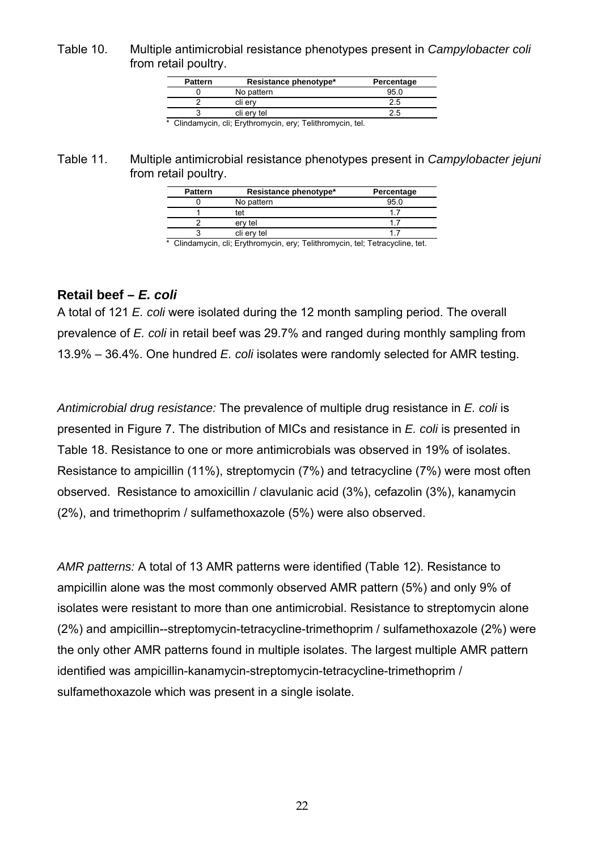<span id="page-21-1"></span><span id="page-21-0"></span>Table 10. Multiple antimicrobial resistance phenotypes present in *Campylobacter coli* from retail poultry.

| <b>Pattern</b> | Resistance phenotype*             | Percentage |
|----------------|-----------------------------------|------------|
|                | No pattern                        | 95.C       |
|                | cli erv                           | 2.5        |
|                | cli erv tel                       | 2.5        |
| ____           | <b>Contract Contract Contract</b> |            |

\* Clindamycin, cli; Erythromycin, ery; Telithromycin, tel.

### <span id="page-21-2"></span>Table 11. Multiple antimicrobial resistance phenotypes present in *Campylobacter jejuni* from retail poultry.

| <b>Pattern</b> | Resistance phenotype* | Percentage |
|----------------|-----------------------|------------|
|                | No pattern            | 95 C       |
|                | tet                   |            |
|                | ery tel               |            |
|                | cli erv tel           |            |

\* Clindamycin, cli; Erythromycin, ery; Telithromycin, tel; Tetracycline, tet.

## **Retail beef –** *E. coli*

A total of 121 *E. coli* were isolated during the 12 month sampling period. The overall prevalence of *E. coli* in retail beef was 29.7% and ranged during monthly sampling from 13.9% – 36.4%. One hundred *E. coli* isolates were randomly selected for AMR testing.

*Antimicrobial drug resistance:* The prevalence of multiple drug resistance in *E. coli* is presented in [Figure 7.](#page-22-1) The distribution of MICs and resistance in *E. coli* is presented in Table 18. Resistance to one or more antimicrobials was observed in 19% of isolates. Resistance to ampicillin (11%), streptomycin (7%) and tetracycline (7%) were most often observed. Resistance to amoxicillin / clavulanic acid (3%), cefazolin (3%), kanamycin (2%), and trimethoprim / sulfamethoxazole (5%) were also observed.

AMR patterns: A total of 13 AMR patterns were identified (Table 12). Resistance to ampicillin alone was the most commonly observed AMR pattern (5%) and only 9% of isolates were resistant to more than one antimicrobial. Resistance to streptomycin alone (2%) and ampicillin--streptomycin-tetracycline-trimethoprim / sulfamethoxazole (2%) were the only other AMR patterns found in multiple isolates. The largest multiple AMR pattern identified was ampicillin-kanamycin-streptomycin-tetracycline-trimethoprim / sulfamethoxazole which was present in a single isolate.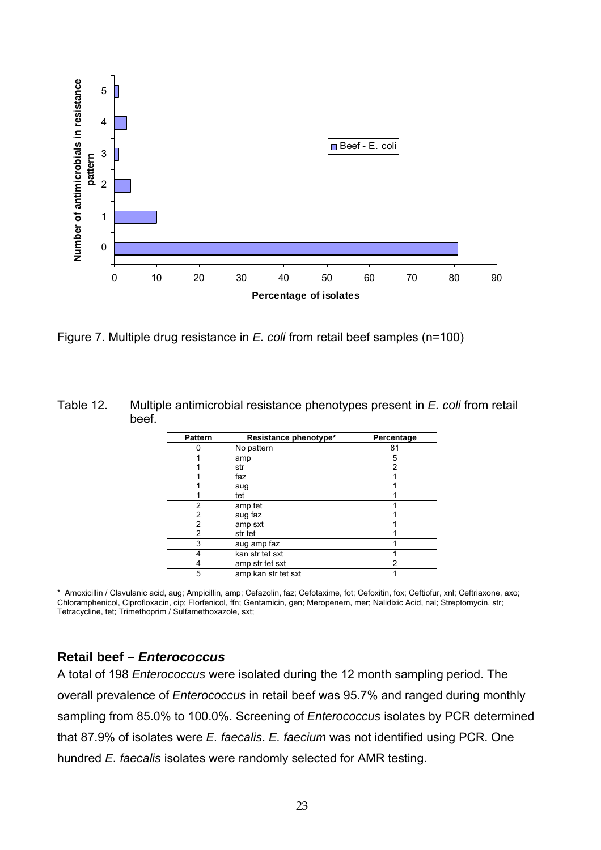<span id="page-22-0"></span>

<span id="page-22-1"></span>Figure 7. Multiple drug resistance in *E. coli* from retail beef samples (n=100)

<span id="page-22-2"></span>

| Table 12. | Multiple antimicrobial resistance phenotypes present in E. coli from retail |
|-----------|-----------------------------------------------------------------------------|
|           | beef.                                                                       |

| <b>Pattern</b> | Resistance phenotype* | Percentage |
|----------------|-----------------------|------------|
|                | No pattern            | 81         |
|                | amp                   | 5          |
|                | str                   | 2          |
|                | faz                   |            |
|                | aug                   |            |
|                | tet                   |            |
| 2              | amp tet               |            |
| 2              | aug faz               |            |
| 2              | amp sxt               |            |
| 2              | str tet               |            |
| 3              | aug amp faz           |            |
| 4              | kan str tet sxt       |            |
|                | amp str tet sxt       |            |
| 5              | amp kan str tet sxt   |            |

\* Amoxicillin / Clavulanic acid, aug; Ampicillin, amp; Cefazolin, faz; Cefotaxime, fot; Cefoxitin, fox; Ceftiofur, xnl; Ceftriaxone, axo ; Chloramphenicol, Ciprofloxacin, cip; Florfenicol, ffn; Gentamicin, gen; Meropenem, mer; Nalidixic Acid, nal; Streptomycin, str; Tetracycline, tet; Trimethoprim / Sulfamethoxazole, sxt;

## **Retail beef –** *Enterococcus*

A total of 198 *Enterococcus* were isolated during the 12 month sampling peri od. The overall prevalence of *Enterococcus* in retail beef was 95. 7% and ranged during monthly sampling from 85.0% to 100.0%. Screening of *Enterococcus* isolates by PCR determined that 87.9% of isolates were *E. faecalis*. *E. faecium* was not identified using PCR. One hundred *E. faecalis* isolates were randomly selected for AMR testing.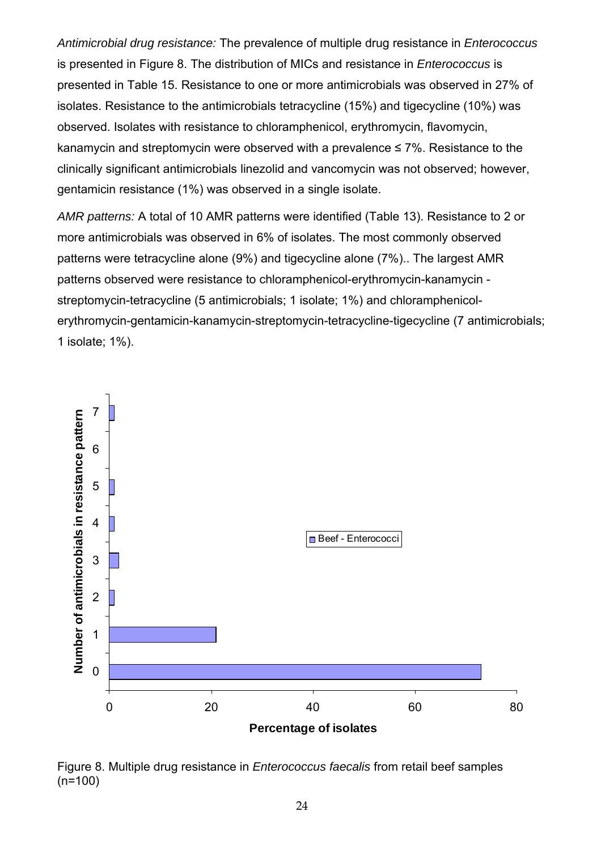*Antimicrobial drug resistance:* The prevalence of multiple drug resistance in *Enterococcus* is presented in [Figure 8.](#page-23-0) The distribution of MICs and resistance in *Enterococcus* is presented in [Table 15.](#page-28-0) Resistance to one or more antimicrobials was observed in 27% of isolates. Resistance to the antimicrobials tetracycline (15%) and tigecycline (10%) was observed. Isolates with resistance to chloramphenicol, erythromycin, flavomycin, kanamycin and streptomycin were observed with a prevalence  $\leq 7\%$ . Resistance to the clinically significant antimicrobials linezolid and vancomycin was not observed; however, gentamicin resistance (1%) was observed in a single isolate.

*AMR patterns:* A total of 10 AMR patterns were identified [\(Table 13\)](#page-24-0). Resistance to 2 or more antimicrobials was observed in 6% of isolates. The most commonly observed patterns were tetracycline alone (9%) and tigecycline alone (7%).. The largest AMR patterns observed were resistance to chloramphenicol-erythromycin-kanamycin streptomycin-tetracycline (5 antimicrobials; 1 isolate; 1%) and chloramphenicolerythromycin-gentamicin-kanamycin-streptomycin-tetracycline-tigecycline (7 antimicrobials; 1 isolate; 1%).



<span id="page-23-0"></span>Figure 8. Multiple drug resistance in *Enterococcus faecalis* from retail beef samples (n=100)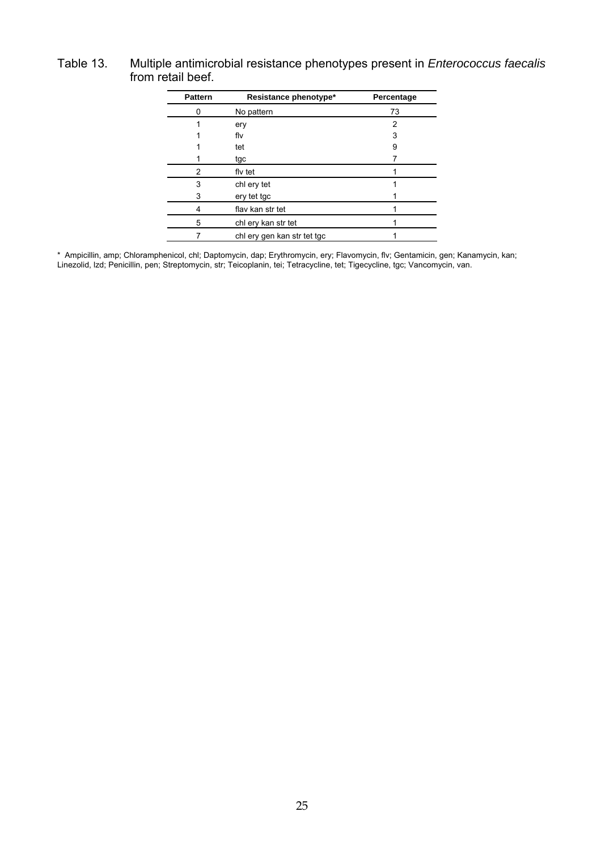## <span id="page-24-0"></span>Table 13. Multiple antimicrobial resistance phenotypes present in *Enterococcus faecalis* from retail beef.

| <b>Pattern</b> | Resistance phenotype*       | Percentage |
|----------------|-----------------------------|------------|
| 0              | No pattern                  | 73         |
|                | ery                         | 2          |
|                | flv                         | 3          |
|                | tet                         | 9          |
|                | tgc                         |            |
| 2              | fly tet                     |            |
| 3              | chl ery tet                 |            |
| 3              | ery tet tgc                 |            |
| 4              | flav kan str tet            |            |
| 5              | chl ery kan str tet         |            |
|                | chl ery gen kan str tet tgc |            |

\* Ampicillin, amp; Chloramphenicol, chl; Daptomycin, dap; Erythromycin, ery; Flavomycin, flv; Gentamicin, gen; Kanamycin, ka Linezolid, lzd; Penicillin, pen; Streptomycin, str; Teicoplanin, tei; Tetracycline, tet; Tigecycline, tgc; Vancomycin, van. n;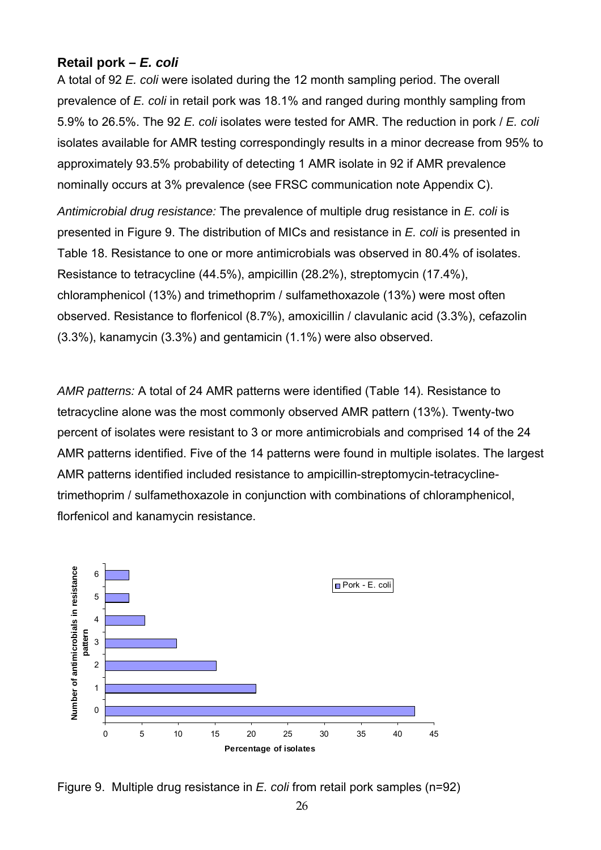## <span id="page-25-0"></span>**k Retail por –** *E. coli*

A total of 92 E. coli were isolated during the 12 month sampling period. The overall prevalence of *E. coli* in retail pork was 18.1% and ranged during monthly sampling from 5.9% to 26.5%. The 92 *E. coli* isolates were tested for AMR. The reduction in pork / *E. coli* isolates available for AMR testing correspondingly results in a minor decrease from 95% to approximately 93.5% probability of detecting 1 AMR isolate in 92 if AMR prevalence nominally occurs at 3% prevalence (see FRSC communication note Appendix C).

*Antimicrobial drug resistance:* The prevalence of multiple drug resistance in *E. coli* is presented in [Figure 9.](#page-25-1) The distribution of MICs and resistance in *E. coli* is presented in Resistance to tetracycline (44.5%), ampicillin (28.2%), streptomycin (17.4%), chloramphenicol (13%) and trimethoprim / sulfamethoxazole (13%) were most often observed. Resistance to florfenicol (8.7%), amoxicillin / clavulanic acid (3.3%), cefazolin (3.3%), kanamycin (3.3%) and gentamicin (1.1%) were also observed. [Table 18.](#page-31-0) Resistance to one or more antimicrobials was observed in 80.4% of isolates.

*AMR patterns:* A total of 24 AMR patterns were identified [\(Table 14\)](#page-26-1). Resistance to tetracycline alone was the most commonly observed AMR pattern (13%). Twenty-two percent of isolates were resistant to 3 or more antimicrobials and comprised 14 of the 24 AMR patterns identified. Five of the 14 patterns were found in multiple isolates. The largest AMR patterns identified included resistance to ampicillin-streptomycin-tetracyclinetrimethoprim / sulfamethoxazole in conjunction with combinations of chloramphenicol, florfenicol and kanamycin resistance.



<span id="page-25-1"></span>Figure 9. Multiple drug resistance in *E. coli* from retail pork samples (n=92)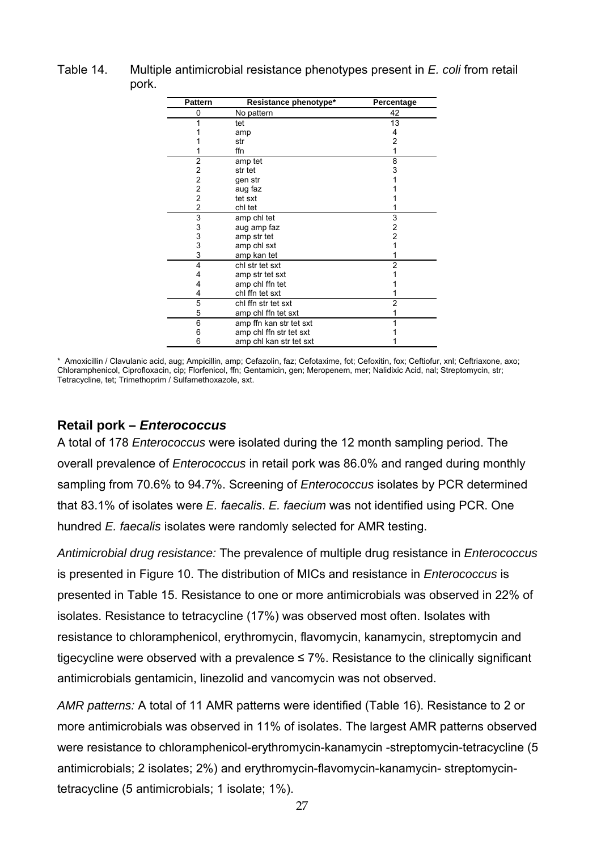<span id="page-26-1"></span><span id="page-26-0"></span>

| Table 14. | Multiple antimicrobial resistance phenotypes present in E. coli from retail |
|-----------|-----------------------------------------------------------------------------|
|           | pork.                                                                       |

| <b>Pattern</b>                             | Resistance phenotype*   | Percentage     |
|--------------------------------------------|-------------------------|----------------|
| 0                                          | No pattern              | 42             |
| 1                                          | tet                     | 13             |
|                                            | amp                     | 4              |
|                                            | str                     | 2              |
|                                            | ffn                     |                |
| $\overline{2}$                             | amp tet                 | 8              |
| 2                                          | str tet                 | 3              |
| $\overline{\mathbf{c}}$                    | gen str                 |                |
| $\overline{c}$                             | aug faz                 |                |
| $\overline{c}$                             | tet sxt                 |                |
| $\overline{c}$                             | chl tet                 |                |
| $\begin{array}{c} 3 \\ 3 \\ 3 \end{array}$ | amp chl tet             | 3              |
|                                            | aug amp faz             | 2              |
|                                            | amp str tet             | $\overline{2}$ |
|                                            | amp chl sxt             |                |
| 3                                          | amp kan tet             |                |
| 4                                          | chl str tet sxt         | 2              |
| 4                                          | amp str tet sxt         |                |
| 4                                          | amp chl ffn tet         |                |
| 4                                          | chl ffn tet sxt         |                |
| 5                                          | chl ffn str tet sxt     | 2              |
| 5                                          | amp chl ffn tet sxt     |                |
| 6                                          | amp ffn kan str tet sxt |                |
| 6                                          | amp chl ffn str tet sxt |                |
| 6                                          | amp chl kan str tet sxt |                |

\* Amoxicillin / Clavulanic acid, aug; Ampicillin, amp; Cefazolin, faz; Cefotaxime, fot; Cefoxitin, fox; Ceftiofur, xnl; Ceftriaxone, axo; Chloramphenicol, Ciprofloxacin, cip; Florfenicol, ffn; Gentamicin, gen; Meropenem, mer; Nalidixic Acid, nal; Streptomycin, str; Tetracycline, tet; Trimethoprim / Sulfamethoxazole, sxt.

## **Retail pork –** *Enterococcus*

hundred *E. faecalis* isolates were randomly selected for AMR testing. A total of 178 *Enterococcus* were isolated during the 12 month sampling period. The overall prevalence of *Enterococcus* in retail pork was 86.0% and ranged during monthly sampling from 70.6% to 94.7%. Screening of *Enterococcus* isolates by PCR determined that 83.1% of isolates were *E. faecalis*. *E. faecium* was not identified using PCR. One

*Antimicrobial drug resistance:* The prevalence of multiple drug resistance in *Enterococcus* is presented in [Figure 10.](#page-27-0) The distribution of MICs and resistance in *Enterococcus* is presented in [Table 15.](#page-28-0) Resistance to one or more antimicrobials was observed in 22% of isolates. Resistance to tetracycline (17%) was observed most often. Isolates with resistance to chloramphenicol, erythromycin, flavomycin, kanamycin, streptomycin and tigecycline were observed with a prevalence  $\leq$  7%. Resistance to the clinically significant antimicrobials gentamicin, linezolid and vancomycin was not observed.

*AMR patterns:* A total of 11 AMR patterns were identified [\(Table 16\)](#page-29-1). Resistance to 2 or more antimicrobials was observed in 11% of isolates. The largest AMR patterns observed were resistance to chloramphenicol-erythromycin-kanamycin -streptomycin-tetracycline (5 antimicrobials; 2 isolates; 2%) and erythromycin-flavomycin-kanamycin- streptomycin tetracycline (5 antimicrobials; 1 isolate; 1%).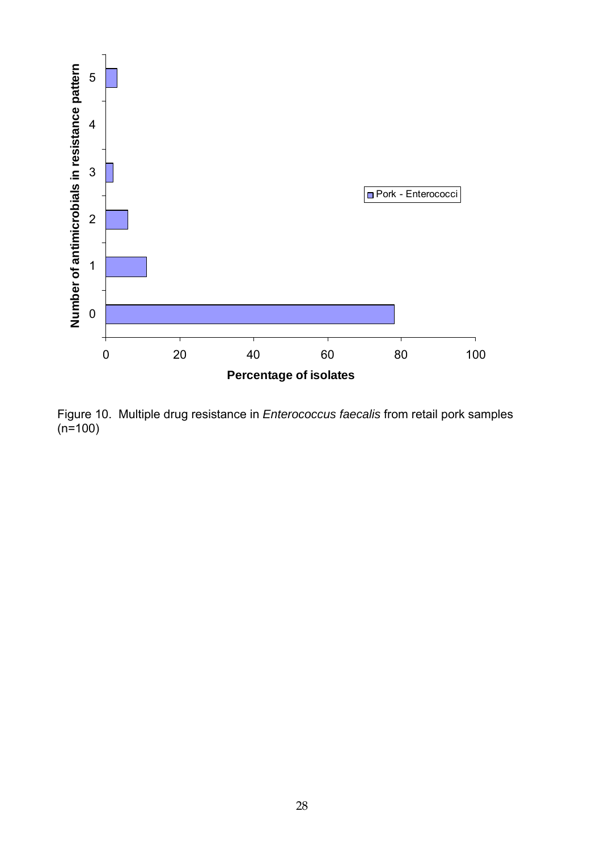

<span id="page-27-0"></span>Figure 10. Multiple drug resistance in *Enterococcus faecalis* from retail pork samples  $(n=100)$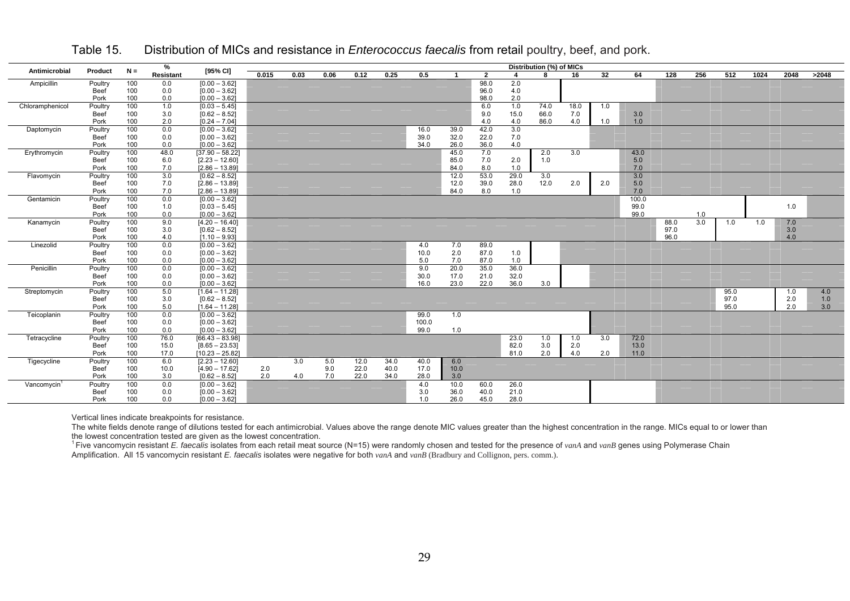|                 |                     |            | %          |                                    |       |      |      |      |      |       |              |                |      | Distribution (%) of MICs |      |     |              |      |            |      |      |      |       |
|-----------------|---------------------|------------|------------|------------------------------------|-------|------|------|------|------|-------|--------------|----------------|------|--------------------------|------|-----|--------------|------|------------|------|------|------|-------|
| Antimicrobial   | Product             | $N =$      | Resistant  | [95% CI]                           | 0.015 | 0.03 | 0.06 | 0.12 | 0.25 | 0.5   | $\mathbf{1}$ | $\overline{2}$ |      | R                        | 16   | 32  | 64           | 128  | 256        | 512  | 1024 | 2048 | >2048 |
| Ampicillin      | Poultry             | 100        | 0.0        | $[0.00 - 3.62]$                    |       |      |      |      |      |       |              | 98.0           | 2.0  |                          |      |     |              |      |            |      |      |      |       |
|                 | <b>Beef</b>         | 100        | 0.0        | $[0.00 - 3.62]$                    |       |      |      |      |      |       |              | 96.0           | 4.0  |                          |      |     |              |      |            |      |      |      |       |
|                 | Pork                | 100        | 0.0        | $[0.00 - 3.62]$                    |       |      |      |      |      |       |              | 98.0           | 2.0  |                          |      |     |              |      |            |      |      |      |       |
| Chloramphenicol | Poultry             | 100        | 1.0        | $[0.03 - 5.45]$                    |       |      |      |      |      |       |              | 6.0            | 1.0  | 74.0                     | 18.0 | 1.0 |              |      |            |      |      |      |       |
|                 | <b>Beef</b>         | 100        | 3.0        | $[0.62 - 8.52]$                    |       |      |      |      |      |       |              | 9.0            | 15.0 | 66.0                     | 7.0  |     | 3.0          |      |            |      |      |      |       |
|                 | Pork                | 100        | 2.0        | $[0.24 - 7.04]$                    |       |      |      |      |      |       |              | 4.0            | 4.0  | 86.0                     | 4.0  | 1.0 | 1.0          |      |            |      |      |      |       |
| Daptomycin      | Poultry             | 100        | 0.0        | $[0.00 - 3.62]$                    |       |      |      |      |      | 16.0  | 39.0         | 42.0           | 3.0  |                          |      |     |              |      |            |      |      |      |       |
|                 | Beef                | 100        | 0.0        | $[0.00 - 3.62]$                    |       |      |      |      |      | 39.0  | 32.0         | 22.0           | 7.0  |                          |      |     |              |      |            |      |      |      |       |
|                 | Pork                | 100        | 0.0        | $[0.00 - 3.62]$                    |       |      |      |      |      | 34.0  | 26.0         | 36.0           | 4.0  |                          |      |     |              |      |            |      |      |      |       |
| Erythromycin    | Poultry             | 100        | 48.0       | $[37.90 - 58.22]$                  |       |      |      |      |      |       | 45.0         | 7.0            |      | 2.0                      | 3.0  |     | 43.0         |      |            |      |      |      |       |
|                 | Beef                | 100        | 6.0        | $[2.23 - 12.60]$                   |       |      |      |      |      |       | 85.0         | 7.0            | 2.0  | 1.0                      |      |     | 5.0          |      |            |      |      |      |       |
|                 | Pork                | 100        | 7.0        | $[2.86 - 13.89]$                   |       |      |      |      |      |       | 84.0         | 8.0            | 1.0  |                          |      |     | 7.0          |      |            |      |      |      |       |
| Flavomycin      | Poultry             | 100        | 3.0        | $[0.62 - 8.52]$                    |       |      |      |      |      |       | 12.0         | 53.0           | 29.0 | 3.0                      |      |     | 3.0          |      |            |      |      |      |       |
|                 | <b>Beef</b>         | 100        | 7.0        | $[2.86 - 13.89]$                   |       |      |      |      |      |       | 12.0         | 39.0           | 28.0 | 12.0                     | 2.0  | 2.0 | 5.0          |      |            |      |      |      |       |
|                 | Pork                | 100        | 7.0        | $[2.86 - 13.89]$                   |       |      |      |      |      |       | 84.0         | 8.0            | 1.0  |                          |      |     | 7.0          |      |            |      |      |      |       |
| Gentamicin      | Poultry             | 100        | 0.0        | $[0.00 - 3.62]$                    |       |      |      |      |      |       |              |                |      |                          |      |     | 100.0        |      |            |      |      |      |       |
|                 | <b>Beef</b><br>Pork | 100<br>100 | 1.0<br>0.0 | $[0.03 - 5.45]$<br>$[0.00 - 3.62]$ |       |      |      |      |      |       |              |                |      |                          |      |     | 99.0<br>99.0 |      |            |      |      | 1.0  |       |
| Kanamycin       | Poultry             | 100        | 9.0        | $[4.20 - 16.40]$                   |       |      |      |      |      |       |              |                |      |                          |      |     |              | 88.0 | 1.0<br>3.0 | 1.0  | 1.0  | 7.0  |       |
|                 | <b>Beef</b>         | 100        | 3.0        | $[0.62 - 8.52]$                    |       |      |      |      |      |       |              |                |      |                          |      |     |              | 97.0 |            |      |      | 3.0  |       |
|                 | Pork                | 100        | 4.0        | $[1.10 - 9.93]$                    |       |      |      |      |      |       |              |                |      |                          |      |     |              | 96.0 |            |      |      | 4.0  |       |
| Linezolid       | Poultry             | 100        | 0.0        | $[0.00 - 3.62]$                    |       |      |      |      |      | 4.0   | 7.0          | 89.0           |      |                          |      |     |              |      |            |      |      |      |       |
|                 | <b>Beef</b>         | 100        | 0.0        | $[0.00 - 3.62]$                    |       |      |      |      |      | 10.0  | 2.0          | 87.0           | 1.0  |                          |      |     |              |      |            |      |      |      |       |
|                 | Pork                | 100        | 0.0        | $[0.00 - 3.62]$                    |       |      |      |      |      | 5.0   | 7.0          | 87.0           | 1.0  |                          |      |     |              |      |            |      |      |      |       |
| Penicillin      | Poultry             | 100        | 0.0        | $[0.00 - 3.62]$                    |       |      |      |      |      | 9.0   | 20.0         | 35.0           | 36.0 |                          |      |     |              |      |            |      |      |      |       |
|                 | <b>Beef</b>         | 100        | 0.0        | $[0.00 - 3.62]$                    |       |      |      |      |      | 30.0  | 17.0         | 21.0           | 32.0 |                          |      |     |              |      |            |      |      |      |       |
|                 | Pork                | 100        | 0.0        | $[0.00 - 3.62]$                    |       |      |      |      |      | 16.0  | 23.0         | 22.0           | 36.0 | 3.0                      |      |     |              |      |            |      |      |      |       |
| Streptomycin    | Poultry             | 100        | 5.0        | $[1.64 - 11.28]$                   |       |      |      |      |      |       |              |                |      |                          |      |     |              |      |            | 95.0 |      | 1.0  | 4.0   |
|                 | <b>Beef</b>         | 100        | 3.0        | $[0.62 - 8.52]$                    |       |      |      |      |      |       |              |                |      |                          |      |     |              |      |            | 97.0 |      | 2.0  | 1.0   |
|                 | Pork                | 100        | 5.0        | $[1.64 - 11.28]$                   |       |      |      |      |      |       |              |                |      |                          |      |     |              |      |            | 95.0 |      | 2.0  | 3.0   |
| Teicoplanin     | Poultry             | 100        | 0.0        | $[0.00 - 3.62]$                    |       |      |      |      |      | 99.0  | 1.0          |                |      |                          |      |     |              |      |            |      |      |      |       |
|                 | <b>Beef</b>         | 100        | 0.0        | $[0.00 - 3.62]$                    |       |      |      |      |      | 100.0 |              |                |      |                          |      |     |              |      |            |      |      |      |       |
|                 | Pork                | 100        | 0.0        | $[0.00 - 3.62]$                    |       |      |      |      |      | 99.0  | 1.0          |                |      |                          |      |     |              |      |            |      |      |      |       |
| Tetracycline    | Poultry             | 100        | 76.0       | $[66.43 - 83.98]$                  |       |      |      |      |      |       |              |                | 23.0 | 1.0                      | 1.0  | 3.0 | 72.0         |      |            |      |      |      |       |
|                 | Beef                | 100        | 15.0       | $[8.65 - 23.53]$                   |       |      |      |      |      |       |              |                | 82.0 | 3.0                      | 2.0  |     | 13.0         |      |            |      |      |      |       |
|                 | Pork                | 100        | 17.0       | $[10.23 - 25.82]$                  |       |      |      |      |      |       |              |                | 81.0 | 2.0                      | 4.0  | 2.0 | 11.0         |      |            |      |      |      |       |
| Tigecycline     | Poultry             | 100        | 6.0        | $[2.23 - 12.60]$                   |       | 3.0  | 5.0  | 12.0 | 34.0 | 40.0  | 6.0          |                |      |                          |      |     |              |      |            |      |      |      |       |
|                 | <b>Beef</b>         | 100        | 10.0       | $[4.90 - 17.62]$                   | 2.0   |      | 9.0  | 22.0 | 40.0 | 17.0  | 10.0         |                |      |                          |      |     |              |      |            |      |      |      |       |
|                 | Pork                | 100        | 3.0        | $[0.62 - 8.52]$                    | 2.0   | 4.0  | 7.0  | 22.0 | 34.0 | 28.0  | 3.0          |                |      |                          |      |     |              |      |            |      |      |      |       |
| Vancomycin      | Poultry             | 100        | 0.0        | $[0.00 - 3.62]$                    |       |      |      |      |      | 4.0   | 10.0         | 60.0           | 26.0 |                          |      |     |              |      |            |      |      |      |       |
|                 | <b>Beef</b>         | 100        | 0.0        | $[0.00 - 3.62]$                    |       |      |      |      |      | 3.0   | 36.0         | 40.0           | 21.0 |                          |      |     |              |      |            |      |      |      |       |
|                 | Pork                | 100        | 0.0        | $[0.00 - 3.62]$                    |       |      |      |      |      | 1.0   | 26.0         | 45.0           | 28.0 |                          |      |     |              |      |            |      |      |      |       |

Table 15.Distribution of MICs and resistance in *Enterococcus faecalis* from retail poultry, beef, and pork.

Vertical lines indicate breakpoints for resistance.

The white fields denote range of dilutions tested for each antimicrobial. Values above the range denote MIC values greater than the highest concentration in the range. MICs equal to or lower than

<span id="page-28-0"></span>the lowest concentration tested are given as the lowest concentration.<br><sup>1</sup> Five vancomycin resistant *E. faecalis* isolates from each retail meat source (N=15) were randomly chosen and tested for the presence of *vanA* and Amplification. All 15 vancomycin resistant *E. faecalis* isolates were negative for both *vanA* and *vanB* (Bradbury and Collignon, pers. comm.).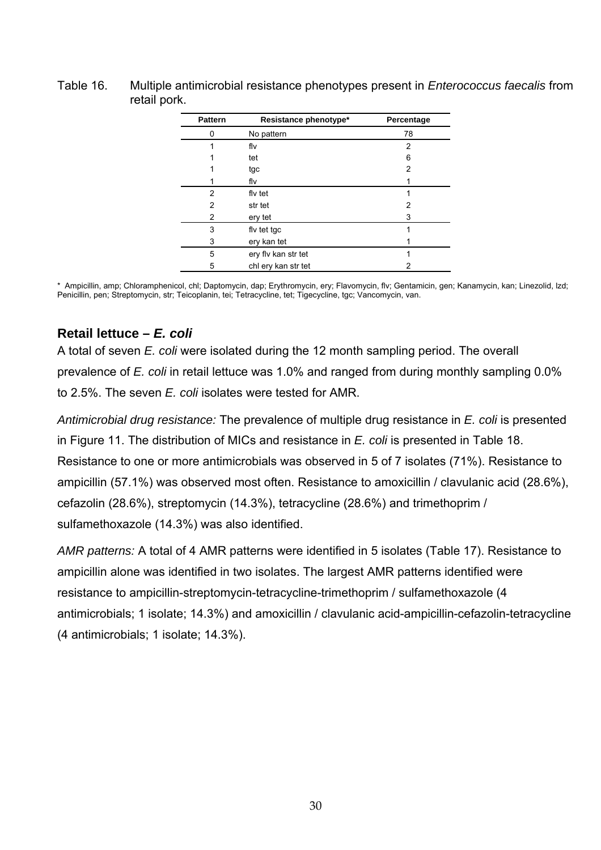#### <span id="page-29-1"></span><span id="page-29-0"></span>Table 16. Multiple antimicrobial resistance phenotypes present in *Enterococcus faecalis* from retail pork.

| <b>Pattern</b> | Resistance phenotype* | Percentage |
|----------------|-----------------------|------------|
| 0              | No pattern            | 78         |
| 1              | flv                   | 2          |
|                | tet                   | 6          |
|                | tgc                   | 2          |
|                | flv                   |            |
| 2              | fly tet               |            |
| 2              | str tet               | 2          |
| 2              | ery tet               | 3          |
| 3              | fly tet tgc           |            |
| 3              | ery kan tet           |            |
| 5              | ery fly kan str tet   | 1          |
| 5              | chl ery kan str tet   | 2          |

\* Ampicillin, amp ; Chloramphenicol, chl; Daptomycin, dap; Erythromycin, ery; Flavomycin, flv; Gentamicin, gen; Kanamycin, kan; Linezolid, lzd; Penicillin, pen; Streptomycin, str; Teicoplanin, tei; Tetracycline, tet; Tigecycline, tgc; Vancomycin, van.

## **R etail lettuce –** *E. coli*

A total of s even *E. coli* were isolated during the 12 month sampling period. The overall prevalence of *E. coli* in retail lettuce was 1.0% and ranged from during monthly sampling 0.0% t o 2.5%. The seven *E. coli* isolates were tested for AMR.

Antimicrobial drug resistance: The prevalence of multiple drug resistance in *E. coli* is presented in [Figure 11.](#page-30-0) The distribution of MICs and resistance in *E. coli* is presented in [Table 18.](#page-31-0) Resistance to one or more antimicrobials was observ ed in 5 of 7 isolates (71%). Resistance to ampicillin ( 57.1%) was observed most often. Resistance to amoxicillin / clavulanic acid (28.6%), cefazolin (28.6%), streptomycin (14.3%), tetracycline (28.6%) and trimethoprim / sulfamethoxazole (14.3%) was also identified.

AMR patterns: A total of 4 AMR patterns were identified in 5 isolates (Table [17\)](#page-30-1). Resistance to ampicillin alone was identified in two isolat es. The largest AMR patterns identified were resistance to ampicillin-streptomycin-tetracycline-trimethoprim / sulfamethoxazole (4 antimicrobials; 1 isolate; 14.3%) and amoxicillin / clavulanic acid-ampicillin-cefazolin-tetracycline (4 antimicrobials; 1 isolate; 14.3%).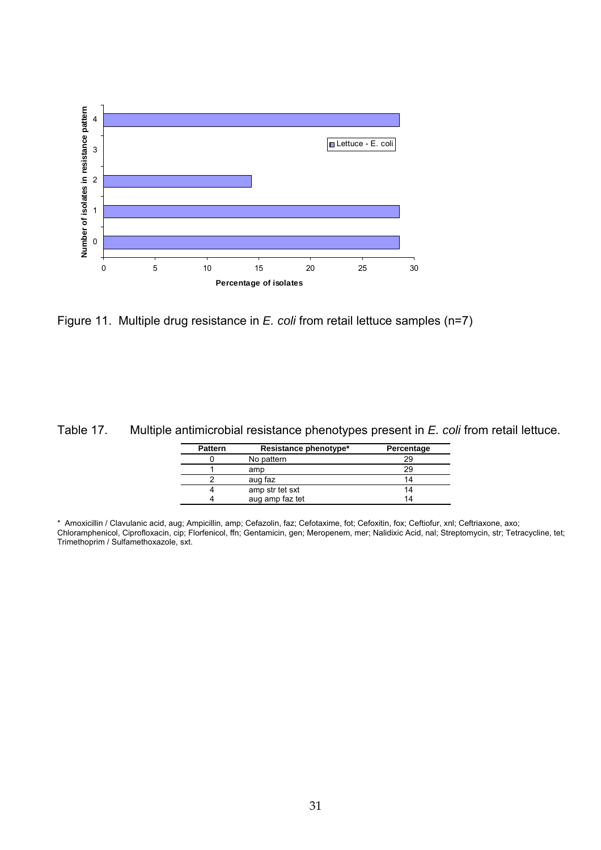

<span id="page-30-0"></span>

<span id="page-30-1"></span>Table 17. Multiple antimicrobial resistance phenotypes present in *E. coli* from retail lettuce.

| <b>Pattern</b> | Resistance phenotype* | Percentage |
|----------------|-----------------------|------------|
|                | No pattern            | 29         |
|                | amp                   | 29         |
|                | aug faz               | 14         |
|                | amp str tet sxt       | 14         |
|                | aug amp faz tet       | 14         |

\* Amoxicillin / Clavulanic acid, aug; Ampicillin, amp; Cefazolin, faz; Ce fotaxime, fot; Cefoxitin, fox; Ceftiofur, xnl; Ceftriaxone, axo; Chloramphenicol, Ciprofloxacin, cip; Florfenicol, ffn; Gentamicin, gen; Meropenem, mer; Nalidixic Acid, nal; Streptomycin, str; Tetracycline, tet; Trimethoprim / Sulfamethoxazole, sxt.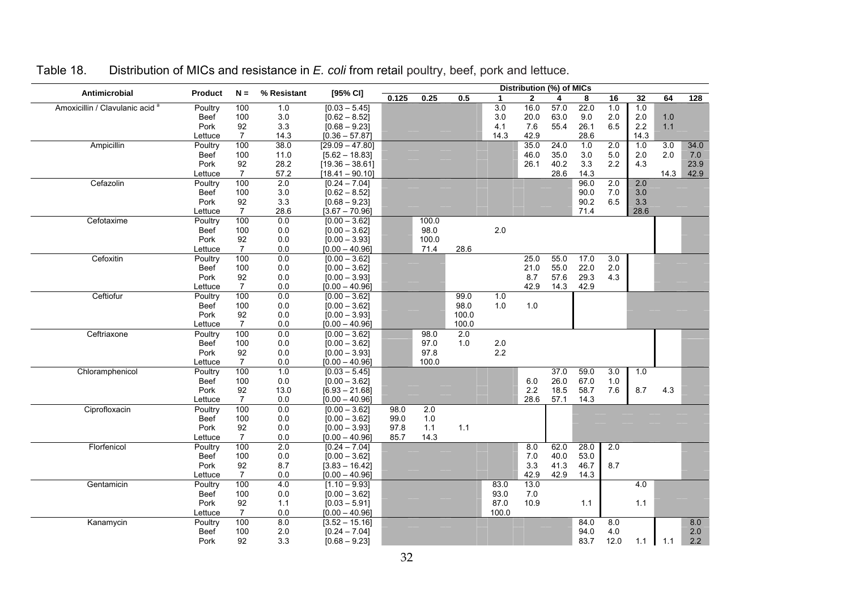<span id="page-31-0"></span>

| Antimicrobial                              | <b>Product</b><br>% Resistant<br>$N =$ | [95% CI]       | Distribution (%) of MICs |                                     |       |               |       |       |              |              |              |            |         |      |      |
|--------------------------------------------|----------------------------------------|----------------|--------------------------|-------------------------------------|-------|---------------|-------|-------|--------------|--------------|--------------|------------|---------|------|------|
|                                            |                                        |                |                          |                                     | 0.125 | 0.25          | 0.5   | 1     | $\mathbf{2}$ | 4            | 8            | 16         | 32      | 64   | 128  |
| Amoxicillin / Clavulanic acid <sup>a</sup> | Poultry                                | 100            | 1.0                      | $[0.03 - 5.45]$                     |       |               |       | 3.0   | 16.0         | 57.0         | 22.0         | 1.0        | 1.0     |      |      |
|                                            | <b>Beef</b>                            | 100            | 3.0                      | $[0.62 - 8.52]$                     |       |               |       | 3.0   | 20.0         | 63.0         | 9.0          | 2.0        | $2.0\,$ | 1.0  |      |
|                                            | Pork                                   | 92             | 3.3                      | $[0.68 - 9.23]$                     |       |               |       | 4.1   | 7.6          | 55.4         | 26.1         | 6.5        | 2.2     | 1.1  |      |
|                                            | Lettuce                                | $\overline{7}$ | 14.3                     | $[0.36 - 57.87]$                    |       |               |       | 14.3  | 42.9         |              | 28.6         |            | 14.3    |      |      |
| Ampicillin                                 | Poultry                                | 100            | 38.0                     | $[29.09 - 47.80]$                   |       |               |       |       | 35.0         | 24.0         | 1.0          | 2.0        | 1.0     | 3.0  | 34.0 |
|                                            | Beef                                   | 100            | 11.0                     | $[5.62 - 18.83]$                    |       |               |       |       | 46.0         | 35.0         | 3.0          | 5.0        | 2.0     | 2.0  | 7.0  |
|                                            | Pork                                   | 92             | 28.2                     | $[19.36 - 38.61]$                   |       |               |       |       | 26.1         | 40.2         | 3.3          | 2.2        | 4.3     |      | 23.9 |
|                                            | Lettuce                                | $\overline{7}$ | 57.2                     | $[18.41 - 90.10]$                   |       |               |       |       |              | 28.6         | 14.3         |            |         | 14.3 | 42.9 |
| Cefazolin                                  | Poultry                                | 100            | 2.0                      | $[0.24 - 7.04]$                     |       |               |       |       |              |              | 96.0         | 2.0        | 2.0     |      |      |
|                                            | <b>Beef</b>                            | 100            | 3.0                      | $[0.62 - 8.52]$                     |       |               |       |       |              |              | 90.0         | 7.0        | 3.0     |      |      |
|                                            | Pork                                   | 92             | 3.3                      | $[0.68 - 9.23]$                     |       |               |       |       |              |              | 90.2         | 6.5        | 3.3     |      |      |
|                                            | Lettuce                                | $\overline{7}$ | 28.6                     | $[3.67 - 70.96]$                    |       |               |       |       |              |              | 71.4         |            | 28.6    |      |      |
| Cefotaxime                                 | Poultry                                | 100            | 0.0                      | $[0.00 - 3.62]$                     |       | 100.0         |       |       |              |              |              |            |         |      |      |
|                                            | Beef                                   | 100            | 0.0                      | $[0.00 - 3.62]$                     |       | 98.0          |       | 2.0   |              |              |              |            |         |      |      |
|                                            | Pork                                   | 92             | $0.0\,$                  | $[0.00 - 3.93]$                     |       | 100.0         |       |       |              |              |              |            |         |      |      |
|                                            | Lettuce                                | $\overline{7}$ | 0.0                      | $[0.00 - 40.96]$                    |       | 71.4          | 28.6  |       |              |              |              |            |         |      |      |
| Cefoxitin                                  | Poultry                                | 100            | 0.0                      | $[0.00 - 3.62]$                     |       |               |       |       | 25.0         | 55.0         | 17.0         | 3.0        |         |      |      |
|                                            | Beef                                   | 100            | 0.0                      | $[0.00 - 3.62]$                     |       |               |       |       | 21.0         | 55.0         | 22.0         | 2.0        |         |      |      |
|                                            | Pork                                   | 92             | 0.0                      | $[0.00 - 3.93]$                     |       |               |       |       | 8.7          | 57.6         | 29.3         | 4.3        |         |      |      |
|                                            | Lettuce                                | $\overline{7}$ | 0.0                      | $[0.00 - 40.96]$                    |       |               |       |       | 42.9         | 14.3         | 42.9         |            |         |      |      |
| Ceftiofur                                  | Poultry                                | 100            | 0.0                      | $[0.00 - 3.62]$                     |       |               | 99.0  | 1.0   |              |              |              |            |         |      |      |
|                                            | Beef                                   | 100            | 0.0                      | $[0.00 - 3.62]$                     |       |               | 98.0  | 1.0   | 1.0          |              |              |            |         |      |      |
|                                            | Pork                                   | 92             | $0.0\,$                  | $[0.00 - 3.93]$                     |       |               | 100.0 |       |              |              |              |            |         |      |      |
|                                            | Lettuce                                | $\overline{7}$ | 0.0                      | $[0.00 - 40.96]$                    |       |               | 100.0 |       |              |              |              |            |         |      |      |
| Ceftriaxone                                | Poultry                                | 100            | 0.0                      | $[0.00 - 3.62]$                     |       | 98.0          | 2.0   |       |              |              |              |            |         |      |      |
|                                            | Beef                                   | 100            | 0.0                      | $[0.00 - 3.62]$                     |       | 97.0          | 1.0   | 2.0   |              |              |              |            |         |      |      |
|                                            | Pork                                   | 92             | $0.0\,$                  | $[0.00 - 3.93]$                     |       | 97.8<br>100.0 |       | 2.2   |              |              |              |            |         |      |      |
|                                            | Lettuce                                | $\overline{7}$ | 0.0<br>1.0               | $[0.00 - 40.96]$                    |       |               |       |       |              | 37.0         | 59.0         | 3.0        |         |      |      |
| Chloramphenicol                            | Poultry                                | 100            |                          | $[0.03 - 5.45]$                     |       |               |       |       |              |              |              |            | 1.0     |      |      |
|                                            | Beef<br>Pork                           | 100<br>92      | 0.0                      | $[0.00 - 3.62]$                     |       |               |       |       | 6.0<br>2.2   | 26.0<br>18.5 | 67.0<br>58.7 | 1.0<br>7.6 | 8.7     | 4.3  |      |
|                                            |                                        | $\overline{7}$ | 13.0<br>0.0              | $[6.93 - 21.68]$                    |       |               |       |       | 28.6         | 57.1         |              |            |         |      |      |
| Ciprofloxacin                              | Lettuce                                | 100            | 0.0                      | $[0.00 - 40.96]$<br>$[0.00 - 3.62]$ | 98.0  | 2.0           |       |       |              |              | 14.3         |            |         |      |      |
|                                            | Poultry<br>Beef                        | 100            | 0.0                      | $[0.00 - 3.62]$                     | 99.0  | 1.0           |       |       |              |              |              |            |         |      |      |
|                                            | Pork                                   | 92             | $0.0\,$                  | $[0.00 - 3.93]$                     | 97.8  | $1.1$         | 1.1   |       |              |              |              |            |         |      |      |
|                                            | Lettuce                                | $\overline{7}$ | 0.0                      | $[0.00 - 40.96]$                    | 85.7  | 14.3          |       |       |              |              |              |            |         |      |      |
| Florfenicol                                | Poultry                                | 100            | 2.0                      | $[0.24 - 7.04]$                     |       |               |       |       | 8.0          | 62.0         | 28.0         | 2.0        |         |      |      |
|                                            | Beef                                   | 100            | 0.0                      | $[0.00 - 3.62]$                     |       |               |       |       | 7.0          | 40.0         | 53.0         |            |         |      |      |
|                                            | Pork                                   | 92             | 8.7                      | $[3.83 - 16.42]$                    |       |               |       |       | 3.3          | 41.3         | 46.7         | 8.7        |         |      |      |
|                                            | Lettuce                                | $\overline{7}$ | 0.0                      | $[0.00 - 40.96]$                    |       |               |       |       | 42.9         | 42.9         | 14.3         |            |         |      |      |
| Gentamicin                                 | Poultry                                | 100            | 4.0                      | $[1.10 - 9.93]$                     |       |               |       | 83.0  | 13.0         |              |              |            | 4.0     |      |      |
|                                            | Beef                                   | 100            | 0.0                      | $[0.00 - 3.62]$                     |       |               |       | 93.0  | 7.0          |              |              |            |         |      |      |
|                                            | Pork                                   | 92             | 1.1                      | $[0.03 - 5.91]$                     |       |               |       | 87.0  | 10.9         |              | 1.1          |            | 1.1     |      |      |
|                                            | Lettuce                                | $\overline{7}$ | 0.0                      | $[0.00 - 40.96]$                    |       |               |       | 100.0 |              |              |              |            |         |      |      |
| Kanamycin                                  | Poultry                                | 100            | 8.0                      | $[3.52 - 15.16]$                    |       |               |       |       |              |              | 84.0         | 8.0        |         |      | 8.0  |
|                                            | Beef                                   | 100            | 2.0                      | $[0.24 - 7.04]$                     |       |               |       |       |              |              | 94.0         | 4.0        |         |      | 2.0  |
|                                            | Pork                                   | 92             | 3.3                      | $[0.68 - 9.23]$                     |       |               |       |       |              |              | 83.7         | 12.0       | 1.1     | 1.1  | 2.2  |
|                                            |                                        |                |                          |                                     |       |               |       |       |              |              |              |            |         |      |      |

#### Table 18. Distribution of MICs and resistance in *E. coli* from retail poultry, beef, pork and lettuce.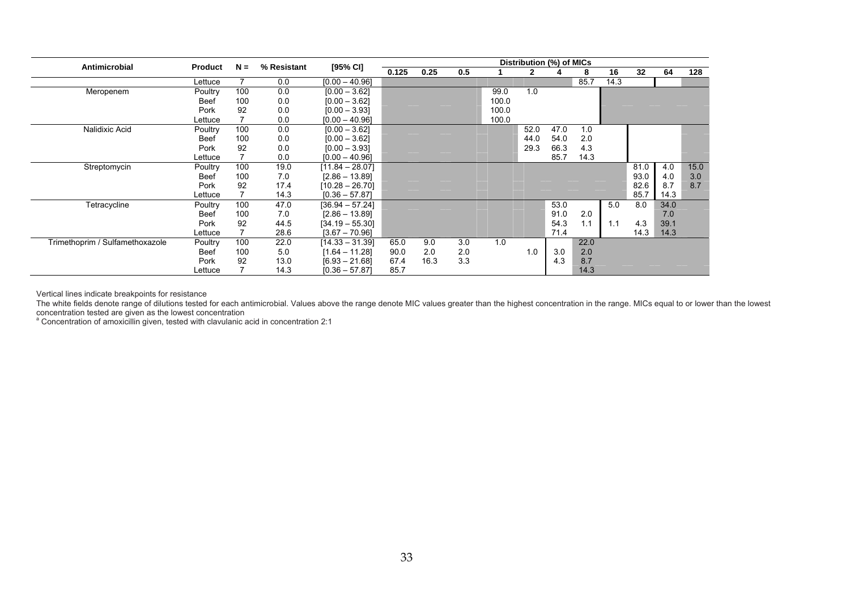| Antimicrobial                   | <b>Product</b> | $N =$ | % Resistant | [95% CI]          | Distribution (%) of MICs |      |     |       |      |      |      |      |      |      |      |
|---------------------------------|----------------|-------|-------------|-------------------|--------------------------|------|-----|-------|------|------|------|------|------|------|------|
|                                 |                |       |             |                   | 0.125                    | 0.25 | 0.5 |       | 2    |      | 8    | 16   | 32   | 64   | 128  |
|                                 | Lettuce        |       | 0.0         | $[0.00 - 40.96]$  |                          |      |     |       |      |      | 85.7 | 14.3 |      |      |      |
| Meropenem                       | Poultry        | 100   | 0.0         | $[0.00 - 3.62]$   |                          |      |     | 99.0  | 1.0  |      |      |      |      |      |      |
|                                 | Beef           | 100   | 0.0         | $[0.00 - 3.62]$   |                          |      |     | 100.0 |      |      |      |      |      |      |      |
|                                 | Pork           | 92    | 0.0         | $[0.00 - 3.93]$   |                          |      |     | 100.0 |      |      |      |      |      |      |      |
|                                 | Lettuce        |       | 0.0         | $[0.00 - 40.96]$  |                          |      |     | 100.0 |      |      |      |      |      |      |      |
| Nalidixic Acid                  | Poultry        | 100   | 0.0         | $[0.00 - 3.62]$   |                          |      |     |       | 52.0 | 47.0 | 1.0  |      |      |      |      |
|                                 | Beef           | 100   | 0.0         | $[0.00 - 3.62]$   |                          |      |     |       | 44.0 | 54.0 | 2.0  |      |      |      |      |
|                                 | Pork           | 92    | 0.0         | $[0.00 - 3.93]$   |                          |      |     |       | 29.3 | 66.3 | 4.3  |      |      |      |      |
|                                 | Lettuce        |       | 0.0         | $[0.00 - 40.96]$  |                          |      |     |       |      | 85.7 | 14.3 |      |      |      |      |
| Streptomycin                    | Poultry        | 100   | 19.0        | $[11.84 - 28.07]$ |                          |      |     |       |      |      |      |      | 81.0 | 4.0  | 15.0 |
|                                 | Beef           | 100   | 7.0         | $[2.86 - 13.89]$  |                          |      |     |       |      |      |      |      | 93.0 | 4.0  | 3.0  |
|                                 | Pork           | 92    | 17.4        | $[10.28 - 26.70]$ |                          |      |     |       |      |      |      |      | 82.6 | 8.7  | 8.7  |
|                                 | Lettuce        |       | 14.3        | $[0.36 - 57.87]$  |                          |      |     |       |      |      |      |      | 85.7 | 14.3 |      |
| Tetracycline                    | Poultry        | 100   | 47.0        | [36.94 – 57.24]   |                          |      |     |       |      | 53.0 |      | 5.0  | 8.0  | 34.0 |      |
|                                 | Beef           | 100   | 7.0         | $[2.86 - 13.89]$  |                          |      |     |       |      | 91.0 | 2.0  |      |      | 7.0  |      |
|                                 | Pork           | 92    | 44.5        | $[34.19 - 55.30]$ |                          |      |     |       |      | 54.3 | 1.1  | 1.1  | 4.3  | 39.1 |      |
|                                 | Lettuce        |       | 28.6        | $[3.67 - 70.96]$  |                          |      |     |       |      | 71.4 |      |      | 14.3 | 14.3 |      |
| Trimethoprim / Sulfamethoxazole | Poultry        | 100   | 22.0        | [14.33 – 31.39]   | 65.0                     | 9.0  | 3.0 | 1.0   |      |      | 22.0 |      |      |      |      |
|                                 | <b>Beef</b>    | 100   | 5.0         | $[1.64 - 11.28]$  | 90.0                     | 2.0  | 2.0 |       | 1.0  | 3.0  | 2.0  |      |      |      |      |
|                                 | Pork           | 92    | 13.0        | $[6.93 - 21.68]$  | 67.4                     | 16.3 | 3.3 |       |      | 4.3  | 8.7  |      |      |      |      |
|                                 | Lettuce        |       | 14.3        | $[0.36 - 57.87]$  | 85.7                     |      |     |       |      |      | 14.3 |      |      |      |      |

Vertical lines indicate breakpoints for resistance

The white fields denote range of dilutions tested for each antimicrobial. Values above the range denote MIC values greater than the highest concentration in the range. MICs equal to or lower than the lowest concentration tested are given as the lowest concentrat ite fields denote range of dilutions tested for each antimicrobial. Values above the range denote MIC values greater than the highest concentration in the range. MICs equal to or lo<br>tration tested are given as the lowest c

<sup>a</sup> Concentration of amoxicillin given, tested with clavulanic acid in concentration of amoxicillin given, tested with clavulanic acid in concentration 2:1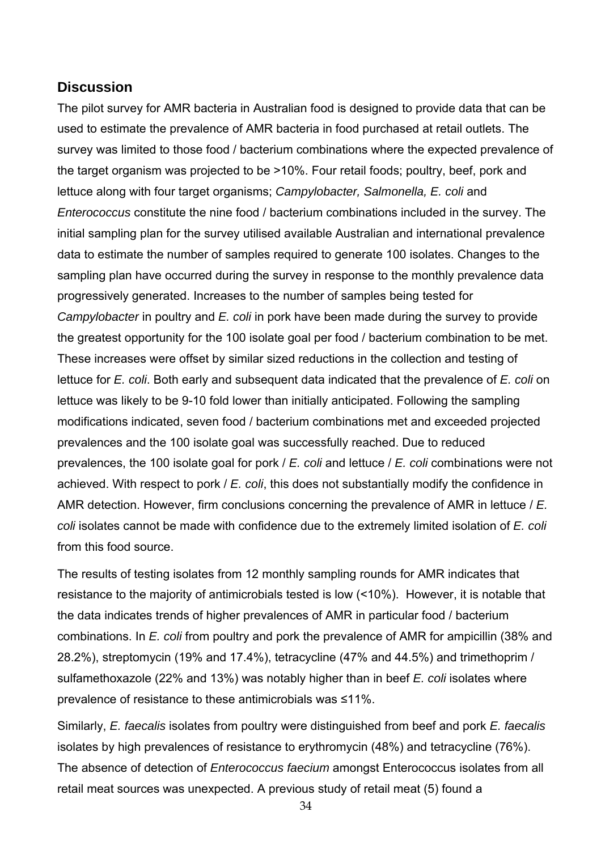## <span id="page-33-0"></span>**Discussion**

The pilot survey for AMR bacteria in Australian food is designed to provide data that can be used to estimate the prevalence of AMR bacteria in food purchased at retail outlets. The survey was limited to those food / bacterium combinations where the expected prevalence of the target organism was projected to be >10%. Four retail foods; poultry, beef, pork and lettuce along with four target organisms; *Campylobacter, Salmonella, E. coli* and *Enterococcus* constitute the nine food / bacterium combinations included in the survey. The initial sampling plan for the survey utilised available Australian and international prevalence data to estimate the number of samples required to generate 100 isolates. Changes to the sampling plan have occurred during the survey in response to the monthly prevalence data progressively generated. Increases to the number of samples being tested for *Campylobacter* in poultry and *E. coli* in pork have been made during the survey to provide the greatest opportunity for the 100 isolate goal per food / bacterium combination to be met. These increases were offset by similar sized reductions in the collection and testing of lettuce for *E. coli*. Both early and subsequent data indicated that the prevalence of *E. coli* on lettuce was likely to be 9-10 fold lower than initially anticipated. Following the sampling modifications indicated, seven food / bacterium combinations met and exceeded projected prevalences and the 100 isolate goal was successfully reached. Due to reduced prevalences, the 100 isolate goal for pork / *E. coli* and lettuce / *E. coli* combinations were not achieved. With respect to pork */ E. coli*, this does not substantially modify the confidence in AMR detection. However, firm conclusions concerning the prevalence of AMR in lettuce / *E.*  coli isolates cannot be made with confidence due to the extremely limited isolation of *E. coli* from this food source.

The results of testing isolates from 12 monthly sampling rounds for AMR indicates that resistance to the majority of antimicrobials tested is low  $($ <10%). However, it is notable that the data indicates trends of higher prevalences of AMR in particular food / bacterium combinations. In *E. coli* from poultry and pork the prevalence of AMR for ampicillin (38% and 28.2%), streptomycin (19% and 17.4%), tetracycline (47% and 44.5%) and trimethoprim / sulfamethoxazole (22% and 13%) was notably higher than in beef *E. coli* isolates where prevalence of resistance to these antimicrobials was ≤11%.

Similarly, *E. faecalis* isolates from poultry were distinguished from beef and pork *E. faecalis* isolates by high prevalences of resistance to erythromycin (48%) and tetracycline (76%). The absence of detection of *Enterococcus faecium* amongst Enterococcus isolates from all retail meat sources was unexpected. A previous study of retail meat (5) found a

34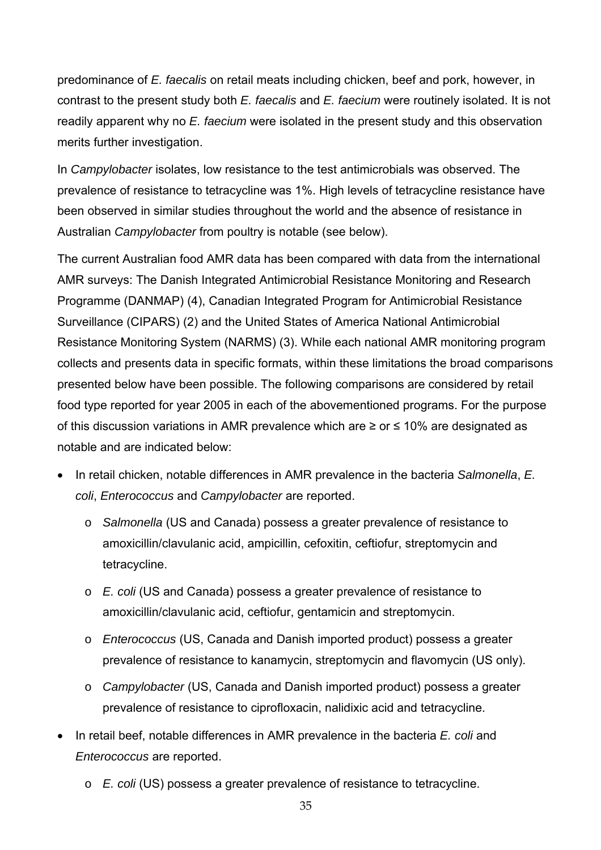predominance of *E. faecalis* on retail meats including chicken, beef and pork, however, in readily apparent why no *E. faecium* were isolated in the present study and this observation contrast to the present study both *E. faecalis* and *E. faecium* were routinely isolated. It is not merits further investigation.

prevalence of resistance to tetracycline was 1%. High levels of tetracycline resistance have In *Campylobacter* isolates, low resistance to the test antimicrobials was observed. The been observed in similar studies throughout the world and the absence of resistance in Australian *Campylobacter* from poultry is notable (see below).

Programme (DANMAP) (4), Canadian Integrated Program for Antimicrobial Resistance collects and presents data in specific formats, within these limitations the broad comparisons food type reported for year 2005 in each of the abovementioned programs. For the purpose The current Australian food AMR data has been compared with data from the international AMR surveys: The Danish Integrated Antimicrobial Resistance Monitoring and Research Surveillance (CIPARS) (2) and the United States of America National Antimicrobial Resistance Monitoring System (NARMS) (3). While each national AMR monitoring program presented below have been possible. The following comparisons are considered by retail of this discussion variations in AMR prevalence which are ≥ or ≤ 10% are designated as notable and are indicated below:

- In retail chicken, notable differences in AMR prevalence in the bacteria *Salmonella*, *E. coli*, *Enterococcus* and *Campylobacter* are reported.
	- amoxicillin/clavulanic acid, ampicillin, cefoxitin, ceftiofur, streptomycin and o *Salmonella* (US and Canada) possess a greater prevalence of resistance to tetracycline.
	- o *E. coli* (US and Canada) possess a greater prevalence of resistance to amoxicillin/clavulanic acid, ceftiofur, gentamicin and streptomycin.
	- o *Enterococcus* (US, Canada and Danish imported product) possess a greater prevalence of resistance to kanamycin, streptomycin and flavomycin (US only).
	- o *Campylobacter* (US, Canada and Danish imported product) possess a greater prevalence of resistance to ciprofloxacin, nalidixic acid and tetracycline.
- In retail beef, notable differences in AMR prevalence in the bacteria *E. coli* and *Enterococcus* are reported.
	- o *E. coli* (US) possess a greater prevalence of resistance to tetracycline.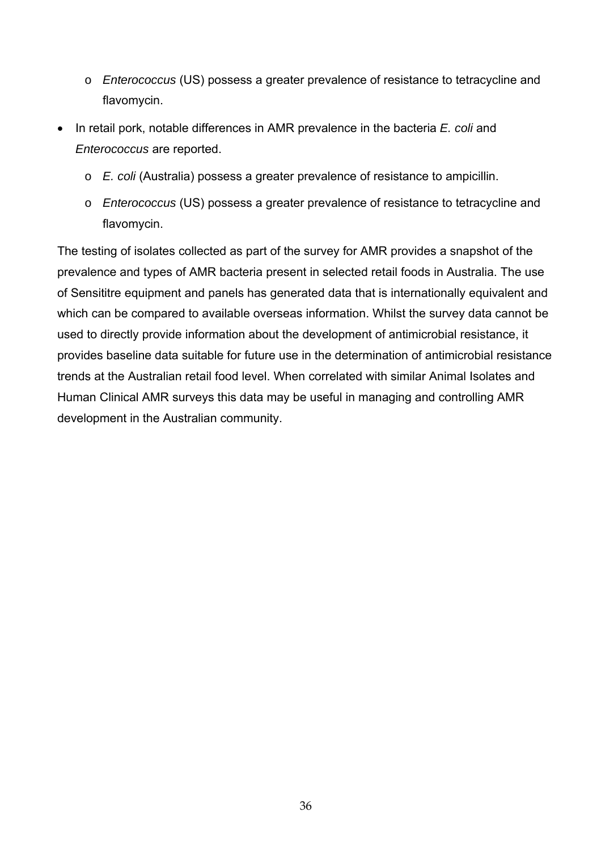- o *Enterococcus* (US) possess a greater prevalence of resistance to tetracycline and flavomycin.
- *Enterococcus* are reported. • In retail pork, notable differences in AMR prevalence in the bacteria *E. coli* and
	- o *E. coli* (Australia) possess a greater prevalence of resistance to ampicillin.
	- o *Enterococcus* (US) possess a greater prevalence of resistance to tetracycline and flavomycin.

prevalence and types of AMR bacteria present in selected retail foods in Australia. The use of Sensititre equipment and panels has generated data that is internationally equivalent and which can be compared to available overseas information. Whilst the survey data cannot be The testing of isolates collected as part of the survey for AMR provides a snapshot of the used to directly provide information about the development of antimicrobial resistance, it provides baseline data suitable for future use in the determination of antimicrobial resistance trends at the Australian retail food level. When correlated with similar Animal Isolates and Human Clinical AMR surveys this data may be useful in managing and controlling AMR development in the Australian community.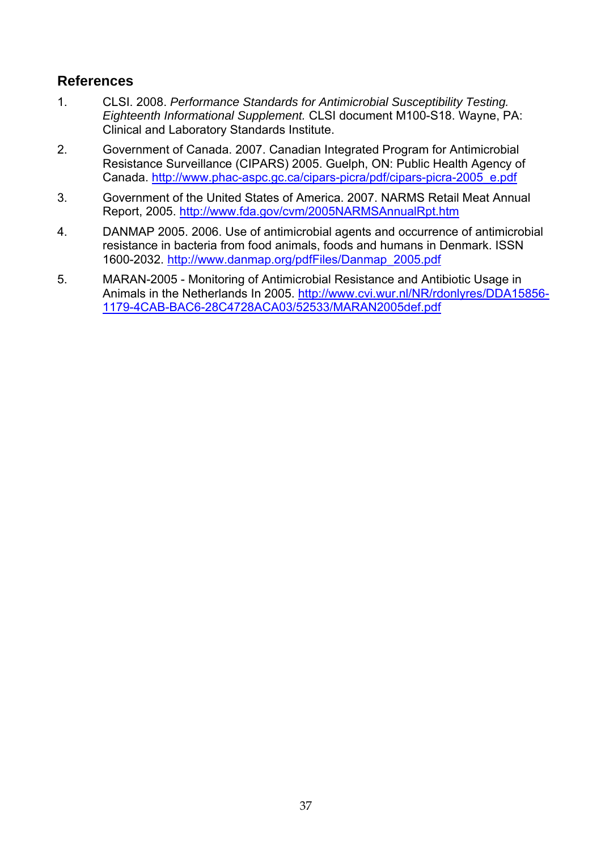## <span id="page-36-0"></span>**Refe rences**

- 1. *Performance Standards for Antimicrobial Susceptibility Testing.*  CLSI. 2008. *Eighteenth Informational Supplement.* CLSI document M100-S18. Wayne, PA: Clinical and Laboratory Standards Institute.
- 2. Government of Canada. 2007. Canadian Integrated Program for Antimicrobial Resistance Surveillance (CIPARS) 2005. Guelph, ON: Public Health Agency of Canada. http://www.phac-aspc.gc.ca/cipars-picra/pdf/cipars-picra-2005\_e.pdf
- 3. Government of the United States of America. 2007. NARMS Retail Meat Annual Report, 2005. http://www.fda.gov/cvm/2005NARMSAnnualRpt.htm
- 4. DANMAP 2005. 2006. Use of antimicrobial agents and occurrence of antimicrobial resistance in bacteria from food animals, foods and humans in Denmark. ISSN 1600-2032. http://www.danmap.org/pdfFiles/Danmap\_2005.pdf
- 5. MARAN-2005 Monitoring of Antimicrobial Resistance and Antibiotic Usage in Animals in the Netherlands In 2005. http://www.cvi.wur.nl/NR/rdonlyres/DDA15856- 1179-4CAB-BAC6-28C4728ACA03/52533/MARAN2005def.pdf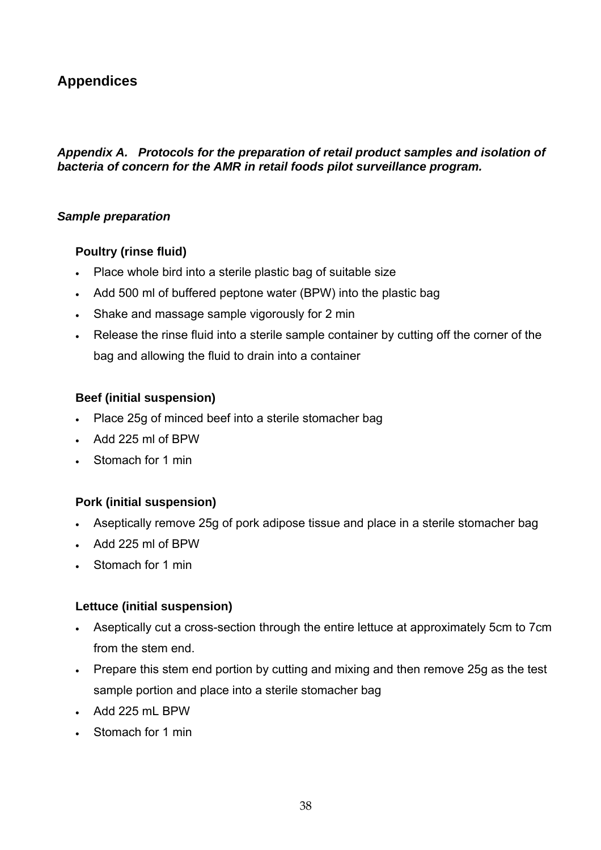## <span id="page-37-0"></span>**Appendices**

## Appendix A. Protocols for the preparation of retail product samples and isolation of bacteria of concern for the AMR in retail foods pilot surveillance program.

## *Sample preparation*

## **Poul try (rinse fluid)**

- P lace whole bird into a sterile plastic bag of suitable size
- A dd 500 ml of buffered peptone water (BPW) into the plastic bag
- $\bullet$ Shake and massage sample vigorously for 2 min
- Release the rinse fluid into a sterile sample container by cutting off the corner of the bag and allowing the fluid to drain into a container

## **Beef (initial suspension)**

- Place 25g of minced beef into a sterile stomacher bag
- Add 225 ml of BPW
- Stomach for 1 min

## **Pork (initial suspension)**

- Aseptically remove 25g of pork adipose tissue and place in a sterile stomacher bag
- Add 225 ml of BPW
- Stomach for 1 min

## **Lettuce (initial suspension)**

- Aseptically cut a cross-section through the entire lettuce at approximately 5cm to 7cm from the stem end.
- Prepare this stem end portion by cutting and mixing and then remove 25g as the test sample portion and place into a sterile stomacher bag
- Add 225 mL BPW
- Stomach for 1 min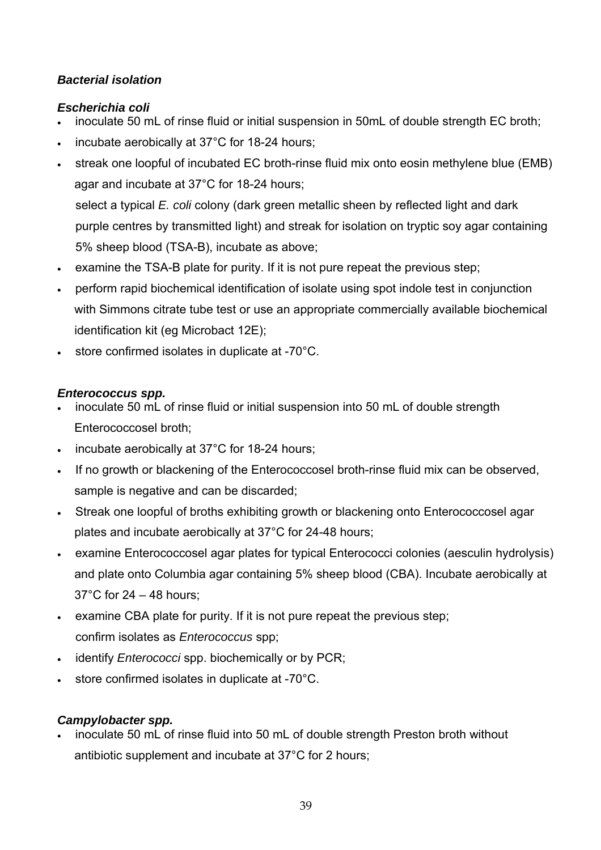## **Bacterial isolation**

## *scherichia coli E*

- inoculate 50 mL of rinse fluid or initial suspension in 50mL of double strength EC broth; •
- incubate aerobically at 37°C for 18-24 hours;
- agar and incubate at 37°C for 18-24 hours; select a typical *E. coli* colony (dark green metallic sheen by reflected light and dark purple centres by transmitted light) and streak for isolation on tryptic soy agar containing • streak one loopful of incubated EC broth-rinse fluid mix onto eosin methylene blue (EMB)

5% sheep blood (TSA-B), incubate as above;

- examine the TSA-B plate for purity. If it is not pure repeat the previous step;
- perform rapid biochemical identification of isolate using spot indole test in conjunction with Simmons citrate tube test or use an appropriate commercially available biochemical identification kit (eg Microbact 12E);
- sto re confirmed isolates in duplicate at -70°C.

## *En terococcus spp.*

- $\cdot$  inoculate 50 mL of rinse fluid or initial suspension into 50 mL of double strength Enterococcosel broth;
- incubate aerobically at 37°C for 18-24 hours;
- If no growth or blackening of the Enterococcosel broth-rinse fluid mix can be observed, sample is negative and can be discarded;
- Streak one loopful of broths exhibiting growth or blackening onto Enterococcosel agar plates and incubate aerobically at 37°C for 24-48 hours;
- examine Enterococcosel agar plates for typical Enterococci colonies (aesculin hydrolysis) and plate onto Columbia agar containing 5% sheep blood (CBA). Incubate aerobically at 37°C for 24 – 48 hours;
- examine CBA plate for purity. If it is not pure repeat the previous step; confirm isolates as *Enterococcus* spp;
- identify *Enterococci* spp. biochemically or by PCR;
- store confirmed isolates in duplicate at -70°C.

## *Campylobacter spp.*

 $\cdot$  inoculate 50 mL of rinse fluid into 50 mL of double strength Preston broth without antibiotic supplement and incubate at 37°C for 2 hours;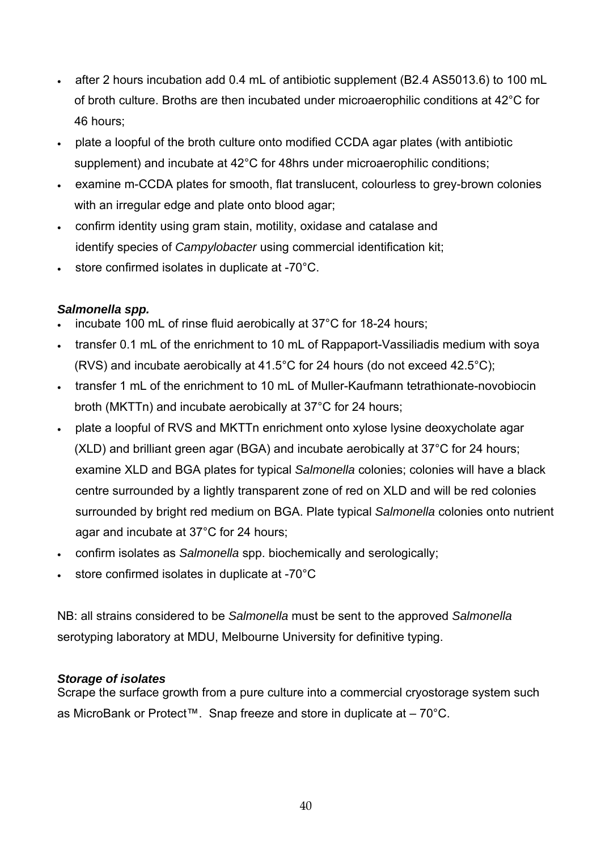- $\bullet$  after 2 hours incubation add 0.4 mL of antibiotic supplement (B2.4 AS5013.6) to 100 mL of broth culture. Broths are then incubated under microaerophilic conditions at 42 $\degree$ C for 46 hours;
- plate a loopful of the broth culture onto modified CCDA agar plates (with antibiotic supplement) and incubate at 42°C for 48hrs under microaerophilic conditions;
- examine m-CCDA plates for smooth, flat translucent, colourless to grey-brown colonies with an irregular edge and plate onto blood agar;
- confirm identity using gram stain, motility, oxidase and catalase and identify species of *Campylobacter* using commercial identification kit;
- store confirmed isolates in duplicate at -70°C.

## *Sa lmonella spp.*

- incubate 100 mL of rinse fluid aerobically at  $37^{\circ}$ C for 18-24 hours;
- transfer 0.1 mL of the enrichment to 10 mL of Rappaport-Vassiliadis medium with soya (RVS) and incubate aerobically at 41.5°C for 24 hours (do not exceed 42.5°C);
- transfer 1 mL of the enrichment to 10 mL of Muller-Kaufmann tetrathionate-novobiocin broth (MKTTn) and incubate aerobically at 37°C for 24 hours;
- plate a loopful of RVS and MKTTn enrichment onto xylose lysine deoxycholate agar (XLD) and brilliant green agar (BGA) and incubate aerobically at  $37^{\circ}$ C for 24 hours; centre surrounded by a lightly transparent zone of red on XLD and will be red colonies surrounded by bright red medium on BGA. Plate typical *Salmonella* colonies onto nutrient examine XLD and BGA plates for typical *Salmonella* colonies; colonies will have a black agar and incubate at 37°C for 24 hours;
- confirm isolates as *Salmonella* spp. biochemically and serologically;
- store confirmed isolates in duplicate at -70°C

serotyping laboratory at MDU, Melbourne University for definitive typing. NB: all strains considered to be *Salmonella* must be sent to the approved *Salmonella* 

## *Storage of isolates*

Scrape the surface growth from a pure culture into a commercial cryostorage system such as MicroBank or Protect™. Snap freeze and store in duplicate at – 70°C.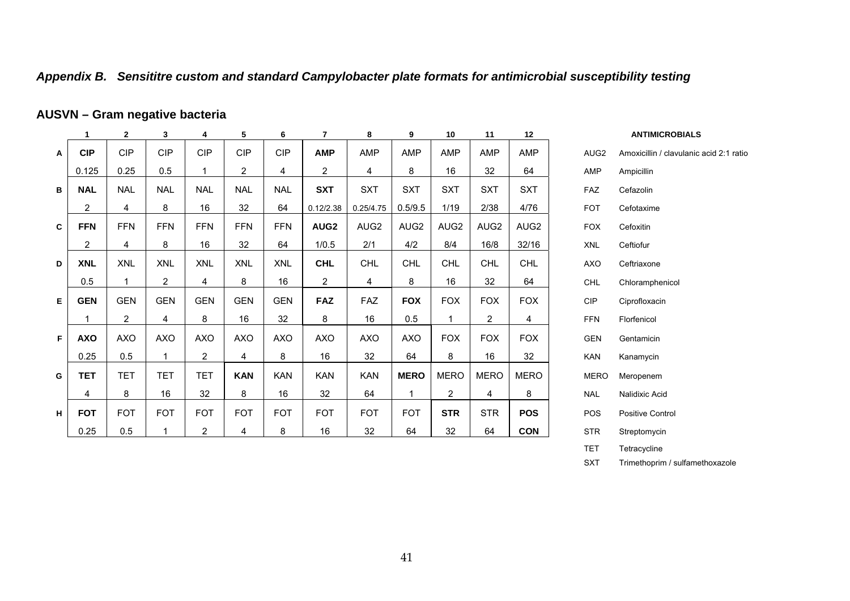#### Appendix B. Sensititre custom and standard Campylobacter plate formats for antimicrobial susceptibility testing

#### **AUSVN – Gram bact negati ve eria**

<span id="page-40-0"></span>

|   | 1              | $\mathbf{2}$   | 3              | 4              | 5              | 6          | 7                | 8          | 9                | 10               | 11               | 12          |                  | <b>ANTIMICROBIALS</b>                   |
|---|----------------|----------------|----------------|----------------|----------------|------------|------------------|------------|------------------|------------------|------------------|-------------|------------------|-----------------------------------------|
| A | <b>CIP</b>     | <b>CIP</b>     | <b>CIP</b>     | <b>CIP</b>     | <b>CIP</b>     | <b>CIP</b> | <b>AMP</b>       | AMP        | <b>AMP</b>       | AMP              | AMP              | AMP         | AUG <sub>2</sub> | Amoxicillin / clavulanic acid 2:1 ratio |
|   | 0.125          | 0.25           | 0.5            |                | $\overline{2}$ | 4          | $\overline{2}$   | 4          | 8                | 16               | 32               | 64          | AMP              | Ampicillin                              |
| в | <b>NAL</b>     | <b>NAL</b>     | <b>NAL</b>     | <b>NAL</b>     | <b>NAL</b>     | <b>NAL</b> | <b>SXT</b>       | <b>SXT</b> | <b>SXT</b>       | <b>SXT</b>       | <b>SXT</b>       | <b>SXT</b>  | FAZ              | Cefazolin                               |
|   | $\overline{c}$ | 4              | 8              | 16             | 32             | 64         | 0.12/2.38        | 0.25/4.75  | 0.5/9.5          | 1/19             | 2/38             | 4/76        | <b>FOT</b>       | Cefotaxime                              |
| C | <b>FFN</b>     | <b>FFN</b>     | <b>FFN</b>     | <b>FFN</b>     | <b>FFN</b>     | <b>FFN</b> | AUG <sub>2</sub> | AUG2       | AUG <sub>2</sub> | AUG <sub>2</sub> | AUG <sub>2</sub> | AUG2        | <b>FOX</b>       | Cefoxitin                               |
|   | $\overline{c}$ | 4              | 8              | 16             | 32             | 64         | 1/0.5            | 2/1        | 4/2              | 8/4              | 16/8             | 32/16       | <b>XNL</b>       | Ceftiofur                               |
| D | <b>XNL</b>     | <b>XNL</b>     | <b>XNL</b>     | <b>XNL</b>     | <b>XNL</b>     | <b>XNL</b> | <b>CHL</b>       | <b>CHL</b> | <b>CHL</b>       | <b>CHL</b>       | <b>CHL</b>       | <b>CHL</b>  | AXO              | Ceftriaxone                             |
|   | 0.5            |                | $\overline{2}$ | 4              | 8              | 16         | $\overline{2}$   | 4          | 8                | 16               | 32               | 64          | <b>CHL</b>       | Chloramphenicol                         |
| Е | <b>GEN</b>     | <b>GEN</b>     | <b>GEN</b>     | <b>GEN</b>     | <b>GEN</b>     | <b>GEN</b> | <b>FAZ</b>       | <b>FAZ</b> | <b>FOX</b>       | <b>FOX</b>       | <b>FOX</b>       | <b>FOX</b>  | CIP              | Ciprofloxacin                           |
|   | 1              | $\overline{c}$ | 4              | 8              | 16             | 32         | 8                | 16         | 0.5              |                  | $\overline{2}$   | 4           | <b>FFN</b>       | Florfenicol                             |
| F | <b>AXO</b>     | <b>AXO</b>     | <b>AXO</b>     | <b>AXO</b>     | <b>AXO</b>     | <b>AXO</b> | AXO              | <b>AXO</b> | <b>AXO</b>       | <b>FOX</b>       | <b>FOX</b>       | <b>FOX</b>  | <b>GEN</b>       | Gentamicin                              |
|   | 0.25           | 0.5            | 1              | $\overline{2}$ | 4              | 8          | 16               | 32         | 64               | 8                | 16               | 32          | <b>KAN</b>       | Kanamycin                               |
| G | <b>TET</b>     | <b>TET</b>     | <b>TET</b>     | <b>TET</b>     | <b>KAN</b>     | <b>KAN</b> | <b>KAN</b>       | <b>KAN</b> | <b>MERO</b>      | <b>MERO</b>      | <b>MERO</b>      | <b>MERO</b> | <b>MERO</b>      | Meropenem                               |
|   | 4              | 8              | 16             | 32             | 8              | 16         | 32               | 64         | 1                | 2                | 4                | 8           | <b>NAL</b>       | Nalidixic Acid                          |
| H | <b>FOT</b>     | <b>FOT</b>     | <b>FOT</b>     | <b>FOT</b>     | <b>FOT</b>     | <b>FOT</b> | <b>FOT</b>       | <b>FOT</b> | <b>FOT</b>       | <b>STR</b>       | <b>STR</b>       | <b>POS</b>  | POS              | <b>Positive Control</b>                 |
|   | 0.25           | 0.5            |                | $\overline{2}$ | 4              | 8          | 16               | 32         | 64               | 32               | 64               | <b>CON</b>  | <b>STR</b>       | Streptomycin                            |

**ANTIMICROBIALS** G2AMP Ampicillin Cefazolin Cefotaxime X Cefoxitin Ceftiofur O**Ceftriaxone**  Chloramphenicol Ciprofloxacin Florfenicol N Gentamicin Kanamycin RO Meropenem Nalidixic Acid Positive Control Streptomy cin TET Tetracycli ne SXT Trimethoprim / sulfamethoxazole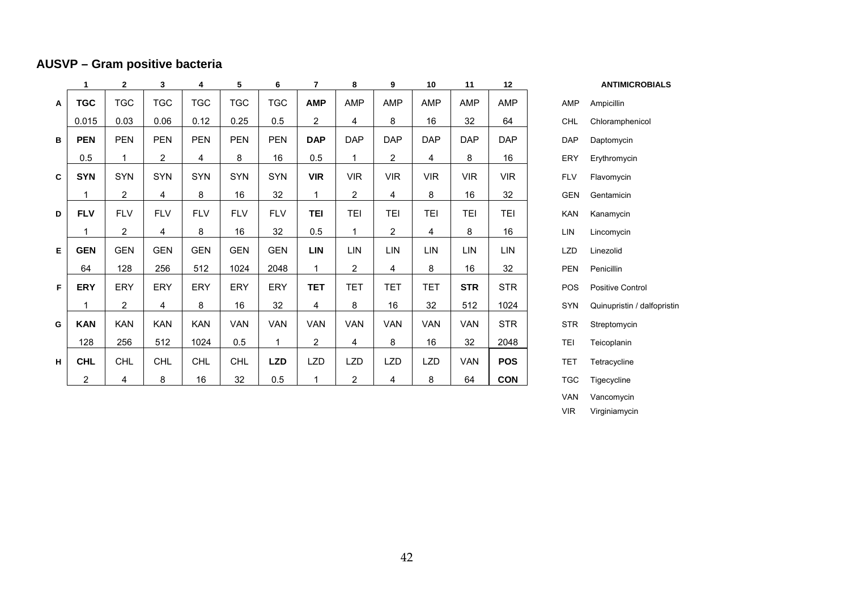## **AUSVP – Gram positive bacteria**

|   | 1           | $\mathbf{2}$   | 3              | 4          | 5          | 6          | $\overline{7}$ | 8              | 9              | 10         | 11         | 12         |            | <b>ANTIMICROBIALS</b>    |
|---|-------------|----------------|----------------|------------|------------|------------|----------------|----------------|----------------|------------|------------|------------|------------|--------------------------|
| A | <b>TGC</b>  | <b>TGC</b>     | <b>TGC</b>     | <b>TGC</b> | <b>TGC</b> | <b>TGC</b> | <b>AMP</b>     | <b>AMP</b>     | <b>AMP</b>     | AMP        | AMP        | AMP        | AMP        | Ampicillin               |
|   | 0.015       | 0.03           | 0.06           | 0.12       | 0.25       | 0.5        | 2              | 4              | 8              | 16         | 32         | 64         | <b>CHL</b> | Chloramphenicol          |
| B | <b>PEN</b>  | <b>PEN</b>     | <b>PEN</b>     | <b>PEN</b> | <b>PEN</b> | <b>PEN</b> | <b>DAP</b>     | <b>DAP</b>     | <b>DAP</b>     | <b>DAP</b> | <b>DAP</b> | <b>DAP</b> | <b>DAP</b> | Daptomycin               |
|   | 0.5         | 1              | $\overline{2}$ | 4          | 8          | 16         | 0.5            | -1             | 2              | 4          | 8          | 16         | ERY        | Erythromycin             |
| C | <b>SYN</b>  | SYN            | <b>SYN</b>     | <b>SYN</b> | <b>SYN</b> | <b>SYN</b> | <b>VIR</b>     | <b>VIR</b>     | <b>VIR</b>     | <b>VIR</b> | <b>VIR</b> | <b>VIR</b> | <b>FLV</b> | Flavomycin               |
|   | 1           | $\overline{2}$ | 4              | 8          | 16         | 32         | 1              | $\overline{2}$ | 4              | 8          | 16         | 32         | <b>GEN</b> | Gentamicin               |
| D | <b>FLV</b>  | <b>FLV</b>     | <b>FLV</b>     | <b>FLV</b> | <b>FLV</b> | <b>FLV</b> | <b>TEI</b>     | <b>TEI</b>     | <b>TEI</b>     | <b>TEI</b> | <b>TEI</b> | <b>TEI</b> | <b>KAN</b> | Kanamycin                |
|   | $\mathbf 1$ | $\overline{2}$ | 4              | 8          | 16         | 32         | 0.5            | $\overline{1}$ | $\overline{2}$ | 4          | 8          | 16         | LIN        | Lincomycin               |
| Е | <b>GEN</b>  | <b>GEN</b>     | <b>GEN</b>     | <b>GEN</b> | <b>GEN</b> | <b>GEN</b> | <b>LIN</b>     | LIN            | <b>LIN</b>     | LIN        | LIN        | <b>LIN</b> | <b>LZD</b> | Linezolid                |
|   | 64          | 128            | 256            | 512        | 1024       | 2048       | 1              | $\overline{2}$ | 4              | 8          | 16         | 32         | PEN        | Penicillin               |
| F | <b>ERY</b>  | <b>ERY</b>     | <b>ERY</b>     | ERY        | <b>ERY</b> | ERY        | <b>TET</b>     | <b>TET</b>     | <b>TET</b>     | <b>TET</b> | <b>STR</b> | <b>STR</b> | POS        | <b>Positive Control</b>  |
|   | $\mathbf 1$ | $\overline{2}$ | 4              | 8          | 16         | 32         | 4              | 8              | 16             | 32         | 512        | 1024       | <b>SYN</b> | Quinupristin / dalfopris |
| G | <b>KAN</b>  | <b>KAN</b>     | <b>KAN</b>     | <b>KAN</b> | <b>VAN</b> | <b>VAN</b> | VAN            | <b>VAN</b>     | <b>VAN</b>     | <b>VAN</b> | <b>VAN</b> | <b>STR</b> | <b>STR</b> | Streptomycin             |
|   | 128         | 256            | 512            | 1024       | 0.5        | 1          | $\overline{c}$ | 4              | 8              | 16         | 32         | 2048       | TEI        | Teicoplanin              |
| H | <b>CHL</b>  | <b>CHL</b>     | <b>CHL</b>     | <b>CHL</b> | <b>CHL</b> | <b>LZD</b> | <b>LZD</b>     | <b>LZD</b>     | <b>LZD</b>     | <b>LZD</b> | <b>VAN</b> | <b>POS</b> | <b>TET</b> | Tetracycline             |
|   | 2           | 4              | 8              | 16         | 32         | 0.5        |                | $\overline{2}$ | 4              | 8          | 64         | <b>CON</b> | <b>TGC</b> | Tigecycline              |

AMP Ampicillin CHL Chloramphenicol DAP Daptomycin ERY Erythromycin GEN Gentamicin **KAN** Kanamycin LIN Lincomycin LZD Linezolid PEN Penicillin **FOS** Positive Control SYN Quinupristin / dalfopristin **STR** Streptomycin TGC Tigecycline VAN Vancomycin VIRVirginiamycin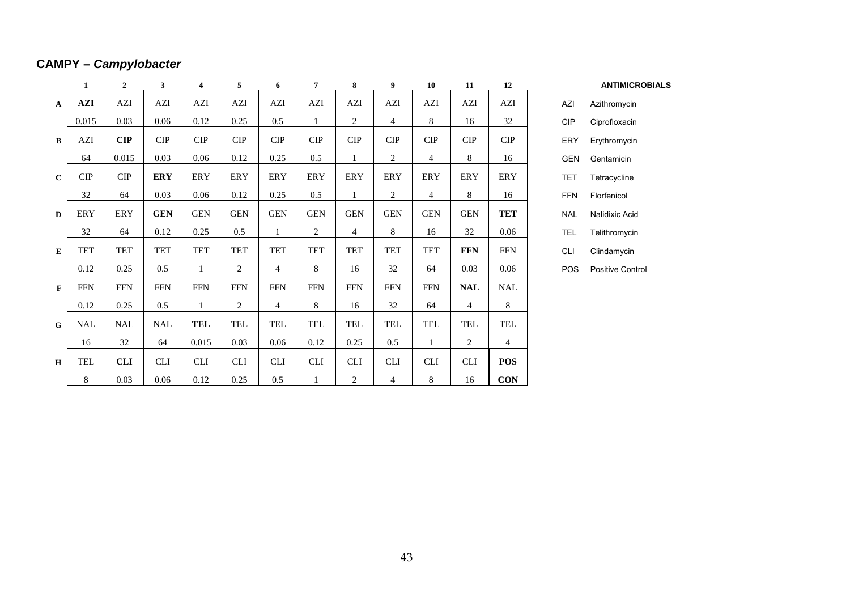## **CAMPY –** *Campylobacter*

|              | $\mathbf{1}$   | $\overline{2}$               | $\mathbf{3}$ | 4            | 5              | 6              | $\overline{7}$              | 8              | 9              | 10             | 11             | 12             |            |
|--------------|----------------|------------------------------|--------------|--------------|----------------|----------------|-----------------------------|----------------|----------------|----------------|----------------|----------------|------------|
| $\mathbf{A}$ | $\mathbf{AZI}$ | $\mathbf{AZI}$               | AZI          | AZI          | $\mathbf{AZI}$ | AZI            | $\mathbf{AZI}$              | $\mathbf{AZI}$ | $\mathbf{AZI}$ | AZI            | AZI            | $\mathbf{AZI}$ | AZI        |
|              | 0.015          | 0.03                         | 0.06         | 0.12         | 0.25           | 0.5            | $\mathbf{1}$                | $\overline{2}$ | $\overline{4}$ | 8              | 16             | 32             | CIP        |
| $\bf{B}$     | AZI            | $\mathbf{CIP}$               | CIP          | CIP          | CIP            | CIP            | $\ensuremath{\mathrm{CIP}}$ | CIP            | CIP            | CIP            | CIP            | CIP            | ERY        |
|              | 64             | 0.015                        | 0.03         | 0.06         | 0.12           | 0.25           | 0.5                         | $\mathbf{1}$   | 2              | $\overline{4}$ | 8              | 16             | <b>GEN</b> |
| $\mathbf{C}$ | <b>CIP</b>     | ${\cal C} {\cal I} {\cal P}$ | ERY          | ERY          | ERY            | ERY            | ERY                         | ERY            | ERY            | ERY            | ERY            | ERY            | <b>TET</b> |
|              | 32             | 64                           | 0.03         | 0.06         | 0.12           | 0.25           | 0.5                         | $\mathbf{1}$   | 2              | $\overline{4}$ | 8              | 16             | <b>FFN</b> |
| D            | ERY            | ERY                          | GEN          | <b>GEN</b>   | <b>GEN</b>     | <b>GEN</b>     | <b>GEN</b>                  | <b>GEN</b>     | <b>GEN</b>     | <b>GEN</b>     | <b>GEN</b>     | <b>TET</b>     | <b>NAL</b> |
|              | 32             | 64                           | 0.12         | 0.25         | 0.5            | $\mathbf{1}$   | $\overline{2}$              | $\overline{4}$ | $8\,$          | 16             | 32             | 0.06           | TEL        |
| E            | TET            | TET                          | TET          | <b>TET</b>   | TET            | TET            | <b>TET</b>                  | TET            | TET            | TET            | <b>FFN</b>     | <b>FFN</b>     | <b>CLI</b> |
|              | 0.12           | 0.25                         | $0.5\,$      | $\mathbf{1}$ | $\overline{2}$ | $\overline{4}$ | 8                           | 16             | 32             | 64             | 0.03           | 0.06           | POS        |
| $\mathbf F$  | <b>FFN</b>     | <b>FFN</b>                   | FFN          | <b>FFN</b>   | <b>FFN</b>     | <b>FFN</b>     | <b>FFN</b>                  | <b>FFN</b>     | <b>FFN</b>     | <b>FFN</b>     | <b>NAL</b>     | NAL            |            |
|              | 0.12           | 0.25                         | 0.5          | $\mathbf{1}$ | $\overline{2}$ | $\overline{4}$ | 8                           | 16             | 32             | 64             | $\overline{4}$ | 8              |            |
| G            | NAL            | <b>NAL</b>                   | NAL          | TEL          | TEL            | TEL            | TEL                         | TEL            | TEL            | TEL            | TEL            | TEL            |            |
|              | 16             | 32                           | 64           | 0.015        | 0.03           | 0.06           | 0.12                        | 0.25           | 0.5            | $\mathbf{1}$   | 2              | $\overline{4}$ |            |
| $\bf H$      | TEL            | <b>CLI</b>                   | <b>CLI</b>   | <b>CLI</b>   | <b>CLI</b>     | <b>CLI</b>     | <b>CLI</b>                  | <b>CLI</b>     | CLI            | CLI            | <b>CLI</b>     | <b>POS</b>     |            |
|              | 8              | 0.03                         | 0.06         | 0.12         | 0.25           | $0.5\,$        | $\mathbf{1}$                | $\overline{2}$ | $\overline{4}$ | 8              | 16             | <b>CON</b>     |            |

**3 4 5 6 7 8 9 10 11 12 ANTIMICROBIALS**

| A7I        | Azithromycin     |
|------------|------------------|
| CIP        | Ciprofloxacin    |
| FRY        | Erythromycin     |
| GFN        | Gentamicin       |
| TET        | Tetracycline     |
| FFN        | Florfenicol      |
| NAI        | Nalidixic Acid   |
| <b>TEL</b> | Telithromycin    |
| CL I       | Clindamycin      |
| POS        | Positive Control |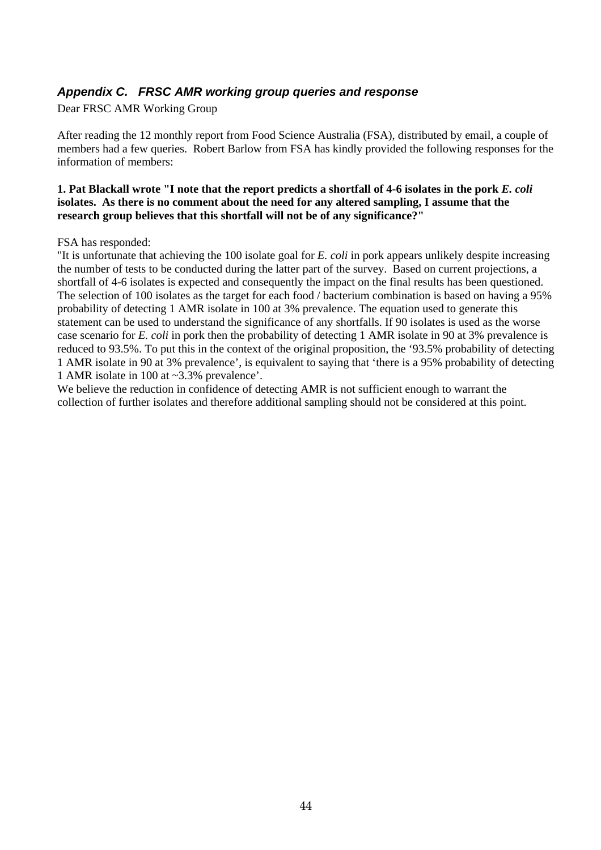## <span id="page-43-0"></span>*Appendix C. FRSC AMR working group queries and response*

Dear FRSC AMR Working Group

After reading the 12 monthly report from Food Science Australia (FSA), distributed by email, a couple of members had a few queries. Robert Barlow from FSA has kindly provided the following responses for the information of members:

#### **1. Pat Blackall wrote "I note that the report predicts a shortfall of 4-6 isolates in the pork** *E. coli* isolates. As there is no comment about the need for any altered sampling, I assume that the research group believes that this shortfall will not be of any significance?"

#### FSA has responded:

"It is unfortunate that achieving the  $100$  isolate goal for  $E$ . *coli* in pork appears unlikely despite increasing the number of tests to be conducted during the latter part of the survey. Based on current projections, a shortfall of 4-6 isolates is expected and consequently the impact on the final results has been questioned. The selection of 100 isolates as the target for each food / bacterium combination is based on having a 95% probability of detecting 1 AMR isolate in 100 at 3% prevalence. The equation used to generate this statement can be used to understand the significance of any shortfalls. If 90 isolates is used as the worse case scenario for *E. coli* in pork then the probability of detecting 1 AMR isolate in 90 at 3% prevalence is reduced to 93.5%. To put this in the context of the original proposition, the '93.5% probability of detecting 1 AMR isolate in 90 at 3% prevalence', is equivalent to saying that 'there is a 95% probability of detecting 1 AMR isolate in 100 at  $\sim$ 3.3% prevalence'.

We believe the reduction in confidence of detecting AMR is not sufficient enough to warrant the collection of further isolates and therefore additional sampling should not be considered at this point.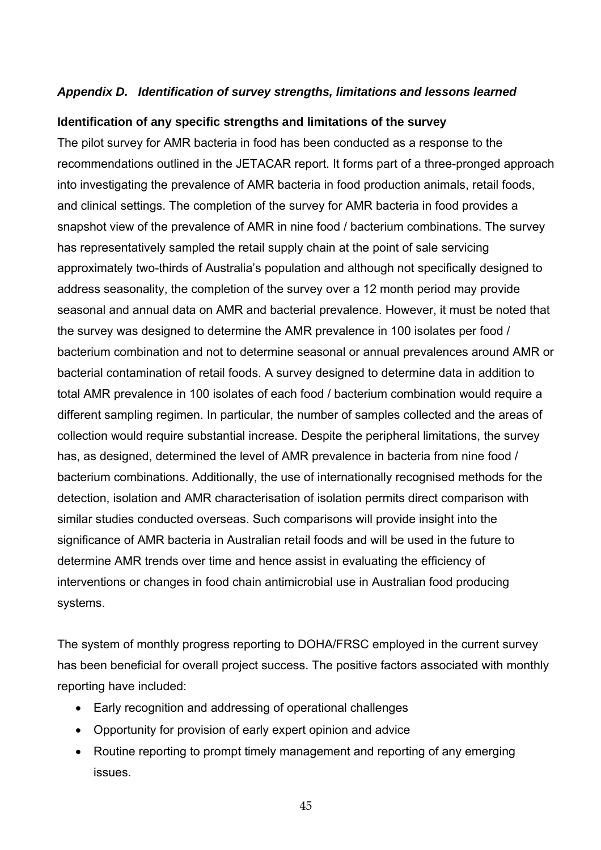## <span id="page-44-0"></span>Appendix D. Identification of survey strengths, limitations and lessons learned

#### **ldentification of any specific strengths and limitations of the survey**

recommendations outlined in the JETACAR report. It forms part of a three-pronged approach snapshot view of the prevalence of AMR in nine food / bacterium combinations. The survey seasonal and annual data on AMR and bacterial prevalence. However, it must be noted that bacterial contamination of retail foods. A survey designed to determine data in addition to total AMR prevalence in 100 isolates of each food / bacterium combination would require a different sampling regimen. In particular, the number of samples collected and the areas of ollection would require substantial increase. Despite the peripheral limitations, the survey chas, as designed, determined the level of AMR prevalence in bacteria from nine food / bacterium combinations. Additionally, the use of internationally recognised methods for the detection, isolation and AMR characterisation of isolation permits direct comparison with similar studies conducted overseas. Such comparisons will provide insight into the significance of AMR bacteria in Australian retail foods and will be used in the future to determine AMR trends over time and hence assist in evaluating the efficiency of interventions or changes in food chain antimicrobial use in Australian food producing systems. The pilot survey for AMR bacteria in food has been conducted as a response to the into investigating the prevalence of AMR bacteria in food production animals, retail foods, and clinical settings. The completion of the survey for AMR bacteria in food provides a has representatively sampled the retail supply chain at the point of sale servicing approximately two-thirds of Australia's population and although not specifically designed to address seasonality, the completion of the survey over a 12 month period may provide the survey was designed to determine the AMR prevalence in 100 isolates per food / bacterium combination and not to determine seasonal or annual prevalences around AMR or

The system of monthly progress reporting to DOHA/FRSC employed in the current survey has been beneficial for overall project success. The positive factors associated with monthly reporting have included:

- Early recognition and addressing of operational challenges
- Opportunity for provision of early expert opinion and advice
- Routine reporting to prompt timely management and reporting of any emerging issues.

45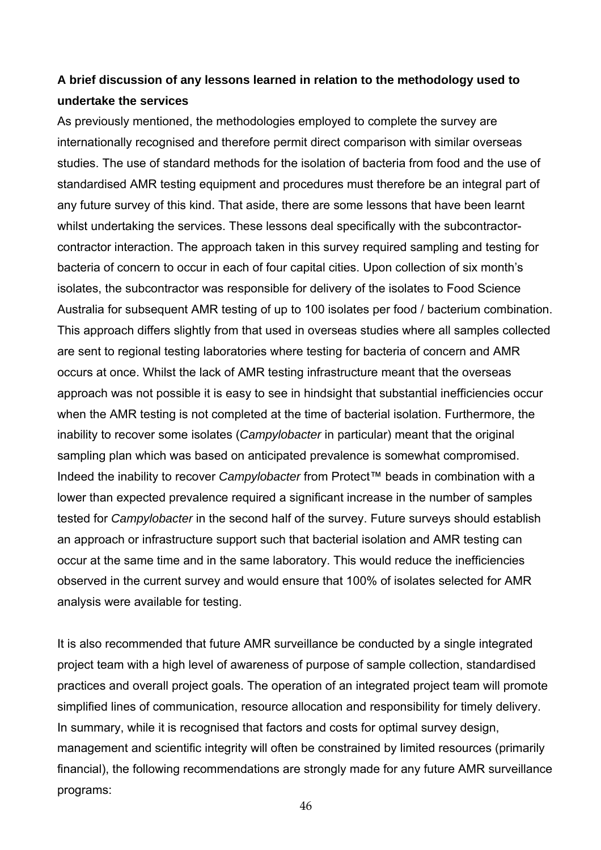## **A brief discussion of any lessons learned in relation to the methodology used to undertake the services**

As previously mentioned, the methodologies employed to complete the survey are internationally recognised and therefore permit direct comparison with similar overseas contractor interaction. The approach taken in this survey required sampling and testing for This approach differs slightly from that used in overseas studies where all samples collected tested for *Campylobacter* in the second half of the survey. Future surveys should establish occur at the same time and in the same laboratory. This would reduce the inefficiencies observed in the current survey and would ensure that 100% of isolates selected for AMR analysis were available for testing. studies. The use of standard methods for the isolation of bacteria from food and the use of standardised AMR testing equipment and procedures must therefore be an integral part of any future survey of this kind. That aside, there are some lessons that have been learnt whilst undertaking the services. These lessons deal specifically with the subcontractorbacteria of concern to occur in each of four capital cities. Upon collection of six month's isolates, the subcontractor was responsible for delivery of the isolates to Food Science Australia for subsequent AMR testing of up to 100 isolates per food / bacterium combination. are sent to regional testing laboratories where testing for bacteria of concern and AMR occurs at once. Whilst the lack of AMR testing infrastructure meant that the overseas approach was not possible it is easy to see in hindsight that substantial inefficiencies occur when the AMR testing is not completed at the time of bacterial isolation. Furthermore, the inability to recover some isolates (*Campylobacter* in particular) meant that the original sampling plan which was based on anticipated prevalence is somewhat compromised. Indeed the inability to recover *Campylobacter* from Protect™ beads in combination with a lower than expected prevalence required a significant increase in the number of samples an approach or infrastructure support such that bacterial isolation and AMR testing can

practices and overall project goals. The operation of an integrated project team will promote simplified lines of communication, resource allocation and responsibility for timely delivery. In summary, while it is recognised that factors and costs for optimal survey design, management and scientific integrity will often be constrained by limited resources (primarily financial), the following recommendations are strongly made for any future AMR surveillance programs: It is also recommended that future AMR surveillance be conducted by a single integrated project team with a high level of awareness of purpose of sample collection, standardised